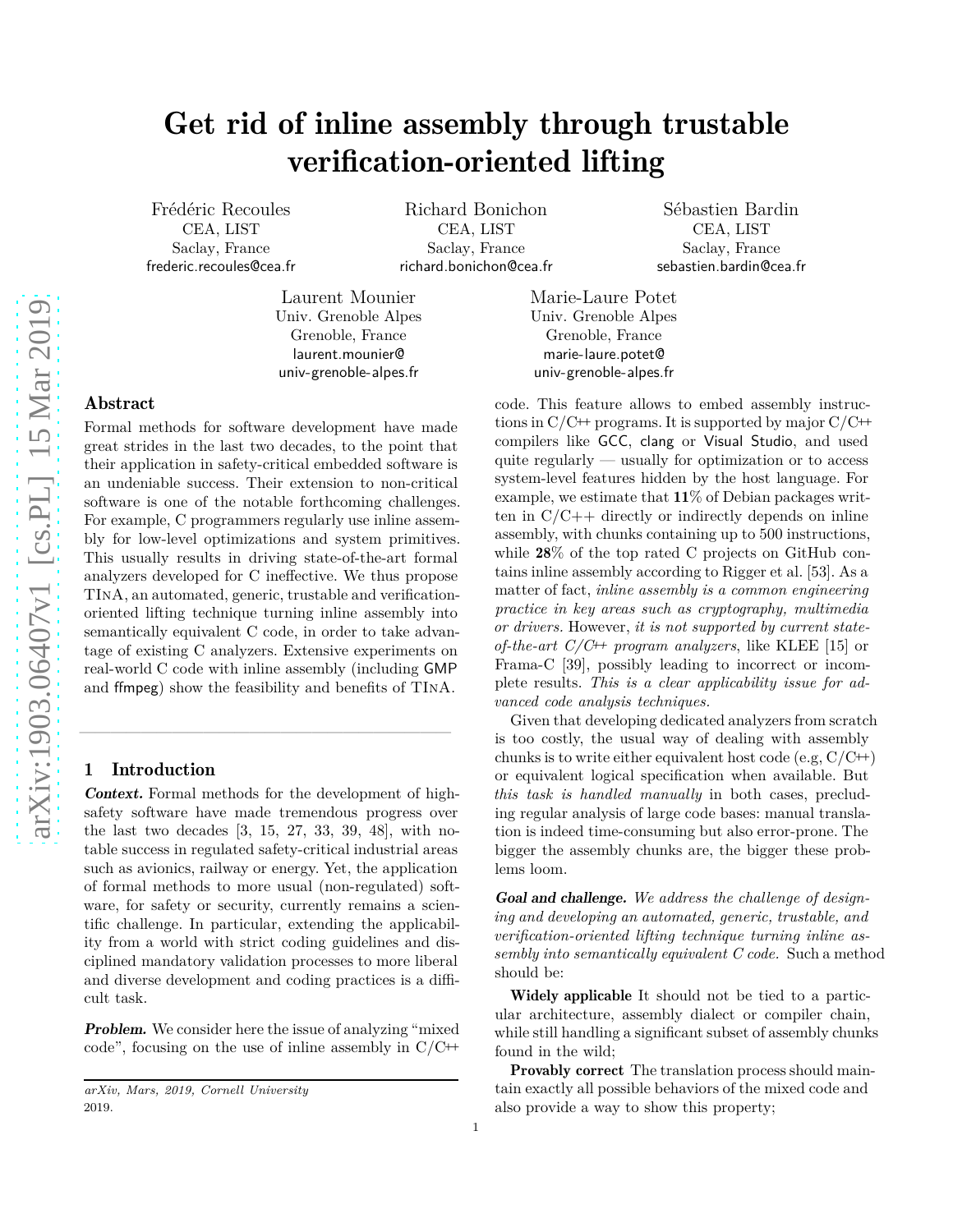# Get rid of inline assembly through trustable verification-oriented lifting

Frédéric Recoules CEA, LIST Saclay, France frederic.recoules@cea.fr

Richard Bonichon CEA, LIST Saclay, France richard.bonichon@cea.fr

Laurent Mounier Univ. Grenoble Alpes Grenoble, France laurent.mounier@ univ-grenoble-alpes.fr

Sébastien Bardin CEA, LIST Saclay, France sebastien.bardin@cea.fr

# Abstract

Formal methods for software development have made great strides in the last two decades, to the point that their application in safety-critical embedded software is an undeniable success. Their extension to non-critical software is one of the notable forthcoming challenges. For example, C programmers regularly use inline assembly for low-level optimizations and system primitives. This usually results in driving state-of-the-art formal analyzers developed for C ineffective. We thus propose TInA, an automated, generic, trustable and verificationoriented lifting technique turning inline assembly into semantically equivalent C code, in order to take advantage of existing C analyzers. Extensive experiments on real-world C code with inline assembly (including GMP and ffmpeg) show the feasibility and benefits of TInA.

# 1 Introduction

Context. Formal methods for the development of highsafety software have made tremendous progress over the last two decades [3, 15, 27, 33, 39, 48], with notable success in regulated safety-critical industrial areas such as avionics, railway or energy. Yet, the application of formal methods to more usual (non-regulated) software, for safety or security, currently remains a scientific challenge. In particular, extending the applicability from a world with strict coding guidelines and disciplined mandatory validation processes to more liberal and diverse development and coding practices is a difficult task.

 $\frac{1}{\sqrt{2}}$  ,  $\frac{1}{\sqrt{2}}$  ,  $\frac{1}{\sqrt{2}}$  ,  $\frac{1}{\sqrt{2}}$  ,  $\frac{1}{\sqrt{2}}$  ,  $\frac{1}{\sqrt{2}}$  ,  $\frac{1}{\sqrt{2}}$  ,  $\frac{1}{\sqrt{2}}$  ,  $\frac{1}{\sqrt{2}}$  ,  $\frac{1}{\sqrt{2}}$  ,  $\frac{1}{\sqrt{2}}$  ,  $\frac{1}{\sqrt{2}}$  ,  $\frac{1}{\sqrt{2}}$  ,  $\frac{1}{\sqrt{2}}$  ,  $\frac{1}{\sqrt{2}}$ 

Problem. We consider here the issue of analyzing "mixed code", focusing on the use of inline assembly in  $C/C^+$ 

Marie-Laure Potet Univ. Grenoble Alpes Grenoble, France marie-laure.potet@ univ-grenoble-alpes.fr

code. This feature allows to embed assembly instructions in  $C/C+$  programs. It is supported by major  $C/C+$ compilers like GCC, clang or Visual Studio, and used quite regularly — usually for optimization or to access system-level features hidden by the host language. For example, we estimate that  $11\%$  of Debian packages written in  $C/C++$  directly or indirectly depends on inline assembly, with chunks containing up to 500 instructions, while 28% of the top rated C projects on GitHub contains inline assembly according to Rigger et al. [\[53](#page-14-0)]. As a matter of fact, *inline assembly is a common engineering practice in key areas such as cryptography, multimedia or drivers.* However, *it is not supported by current stateof-the-art C/C*++ *program analyzers*, like KLEE [15] or Frama-C [39], possibly leading to incorrect or incomplete results. *This is a clear applicability issue for advanced code analysis techniques.*

Given that developing dedicated analyzers from scratch is too costly, the usual way of dealing with assembly chunks is to write either equivalent host code (e.g,  $C/C^{++}$ ) or equivalent logical specification when available. But *this task is handled manually* in both cases, precluding regular analysis of large code bases: manual translation is indeed time-consuming but also error-prone. The bigger the assembly chunks are, the bigger these problems loom.

Goal and challenge. *We address the challenge of designing and developing an automated, generic, trustable, and verification-oriented lifting technique turning inline assembly into semantically equivalent C code.* Such a method should be:

Widely applicable It should not be tied to a particular architecture, assembly dialect or compiler chain, while still handling a significant subset of assembly chunks found in the wild;

Provably correct The translation process should maintain exactly all possible behaviors of the mixed code and also provide a way to show this property;

*arXiv, Mars, 2019, Cornell University* 2019.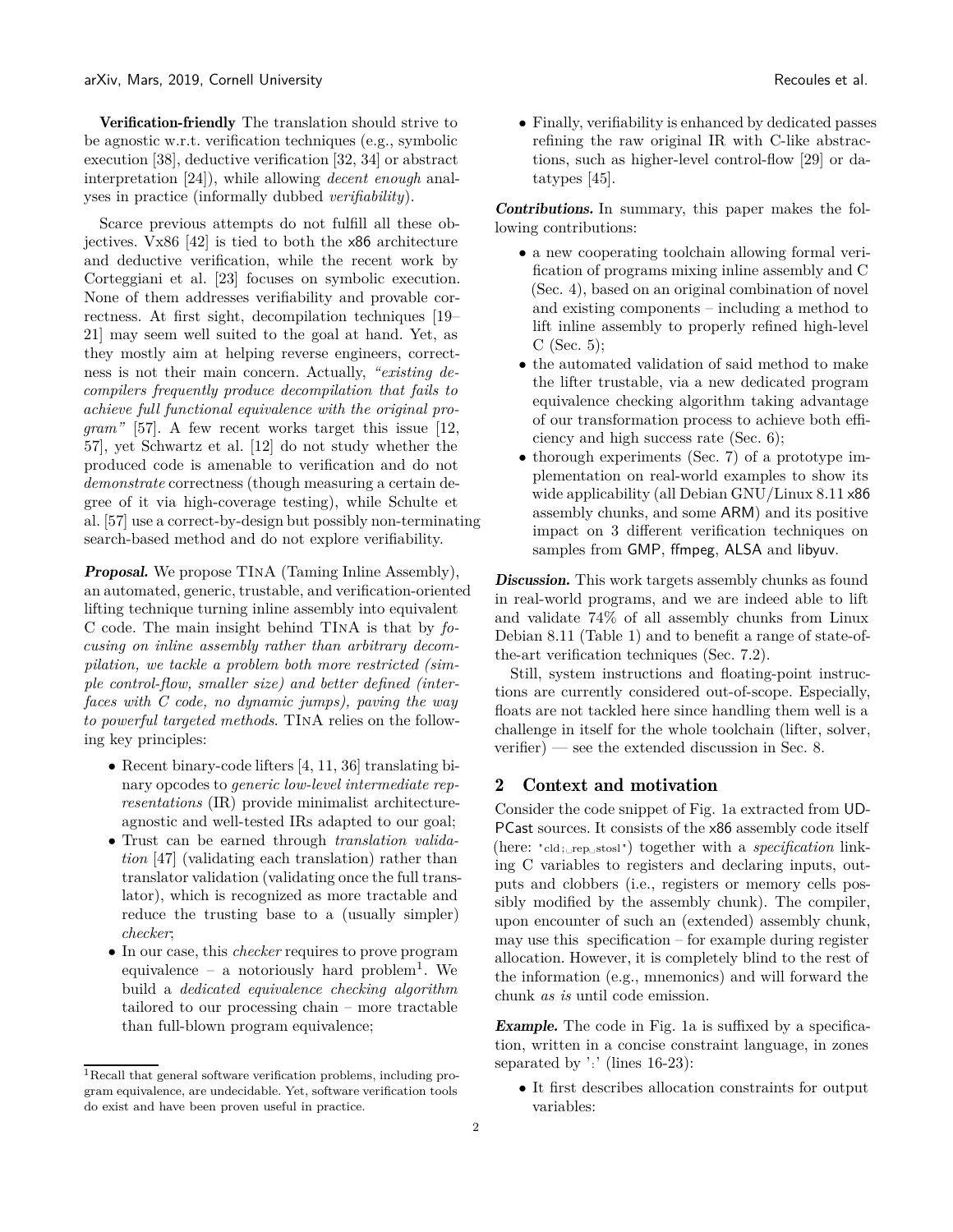Verification-friendly The translation should strive to be agnostic w.r.t. verification techniques (e.g., symbolic execution [\[38\]](#page-14-1), deductive verification [\[32,](#page-13-0) 34] or abstract interpretation [24]), while allowing *decent enough* analyses in practice (informally dubbed *verifiability*).

Scarce previous attempts do not fulfill all these objectives. Vx86 [\[42\]](#page-14-2) is tied to both the x86 architecture and deductive verification, while the recent work by Corteggiani et al. [23] focuses on symbolic execution. None of them addresses verifiability and provable correctness. At first sight, decompilation techniques [19– 21] may seem well suited to the goal at hand. Yet, as they mostly aim at helping reverse engineers, correctness is not their main concern. Actually, *"existing decompilers frequently produce decompilation that fails to achieve full functional equivalence with the original program"* [\[57](#page-14-3)]. A few recent works target this issue [12, [57\]](#page-14-3), yet Schwartz et al. [12] do not study whether the produced code is amenable to verification and do not *demonstrate* correctness (though measuring a certain degree of it via high-coverage testing), while Schulte et al. [\[57\]](#page-14-3) use a correct-by-design but possibly non-terminating search-based method and do not explore verifiability.

Proposal. We propose TInA (Taming Inline Assembly), an automated, generic, trustable, and verification-oriented lifting technique turning inline assembly into equivalent C code. The main insight behind TInA is that by *focusing on inline assembly rather than arbitrary decompilation, we tackle a problem both more restricted (simple control-flow, smaller size) and better defined (interfaces with C code, no dynamic jumps), paving the way to powerful targeted methods*. TInA relies on the following key principles:

- Recent binary-code lifters [4, [11](#page-13-1), 36] translating binary opcodes to *generic low-level intermediate representations* (IR) provide minimalist architectureagnostic and well-tested IRs adapted to our goal;
- Trust can be earned through *translation validation* [47] (validating each translation) rather than translator validation (validating once the full translator), which is recognized as more tractable and reduce the trusting base to a (usually simpler) *checker*;
- In our case, this *checker* requires to prove program equivalence – a notoriously hard problem<sup>[1](#page-1-0)</sup>. We build a *dedicated equivalence checking algorithm* tailored to our processing chain – more tractable than full-blown program equivalence;

• Finally, verifiability is enhanced by dedicated passes refining the raw original IR with C-like abstractions, such as higher-level control-flow [\[29\]](#page-13-2) or datatypes [45].

Contributions. In summary, this paper makes the following contributions:

- a new cooperating toolchain allowing formal verification of programs mixing inline assembly and C [\(Sec. 4\)](#page-4-0), based on an original combination of novel and existing components – including a method to lift inline assembly to properly refined high-level C [\(Sec. 5\)](#page-4-1);
- the automated validation of said method to make the lifter trustable, via a new dedicated program equivalence checking algorithm taking advantage of our transformation process to achieve both efficiency and high success rate [\(Sec. 6\)](#page-6-0);
- thorough experiments [\(Sec. 7\)](#page-8-0) of a prototype implementation on real-world examples to show its wide applicability (all Debian GNU/Linux 8.11 x86 assembly chunks, and some ARM) and its positive impact on 3 different verification techniques on samples from GMP, ffmpeg, ALSA and libyuv.

Discussion. This work targets assembly chunks as found in real-world programs, and we are indeed able to lift and validate 74% of all assembly chunks from Linux Debian 8.11 [\(Table 1\)](#page-9-0) and to benefit a range of state-ofthe-art verification techniques [\(Sec. 7.2\)](#page-8-1).

Still, system instructions and floating-point instructions are currently considered out-of-scope. Especially, floats are not tackled here since handling them well is a challenge in itself for the whole toolchain (lifter, solver, verifier) — see the extended discussion in [Sec. 8.](#page-9-1)

# 2 Context and motivation

Consider the code snippet of [Fig. 1a](#page-2-0) extracted from UD-PCast sources. It consists of the x86 assembly code itself (here: "cld;␣rep␣stosl") together with a *specification* linking C variables to registers and declaring inputs, outputs and clobbers (i.e., registers or memory cells possibly modified by the assembly chunk). The compiler, upon encounter of such an (extended) assembly chunk, may use this specification – for example during register allocation. However, it is completely blind to the rest of the information (e.g., mnemonics) and will forward the chunk *as is* until code emission.

**Example.** The code in [Fig. 1a](#page-2-0) is suffixed by a specification, written in a concise constraint language, in zones separated by ':' (lines 16-23):

• It first describes allocation constraints for output variables:

<span id="page-1-0"></span><sup>1</sup>Recall that general software verification problems, including program equivalence, are undecidable. Yet, software verification tools do exist and have been proven useful in practice.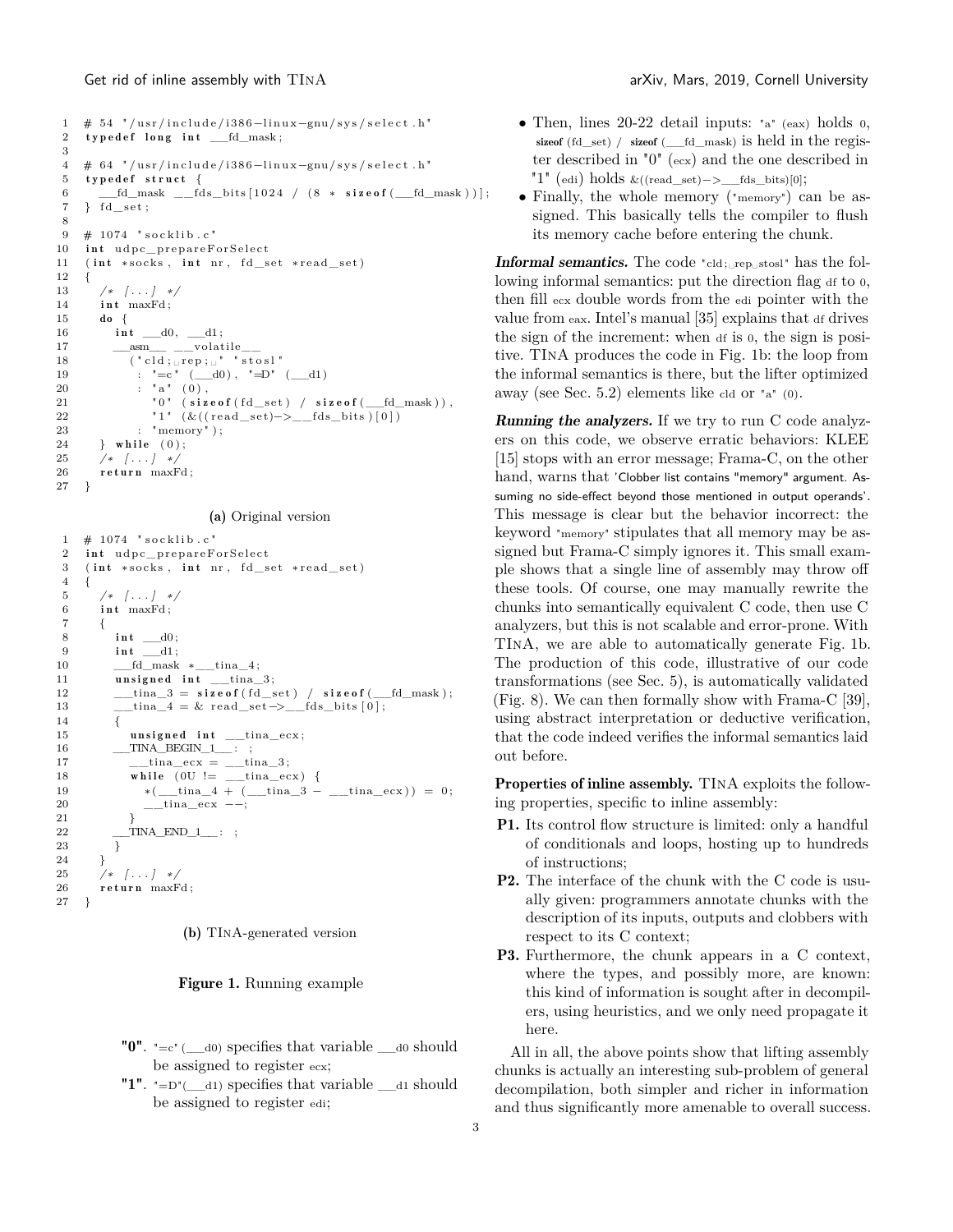```
1 \# 54 "/usr/include/i386-linux-gnu/sys/select.h"
 2 typedef long int _{eff\_r} to _{max};
 3
 4 # 64 "/usr/include/i386-linux-gnu/sys/select.h"
 5 typedef struct {
 6 \qquad fd mask \qquad fds bits [ 1024 / (8 * sizeof (6 d) mask ) ];
 7 } fd_set ;
 8
 9 \# 1074 " socklib.c"
10 int udpc_prepareForSelect
11 ( int *socks, int nr, fd_set *read_set)
12 {
13 /∗ [ . . . ] ∗/
14 int maxFd;
15 do {
\begin{tabular}{ll} 16 & \quad \quad \textbf{int}\quad \textcolor{red}{\underline{\hspace{15pt}}}\text{ } \textbf{d}0\,,\quad \textcolor{red}{\underline{\hspace{15pt}}}\text{ } \textbf{d}1\,; \end{tabular}\begin{tabular}{ll} $17$ & \quad \underline{\hspace{1cm}}$~asm$\_\_ \_\_volatile$ \end{tabular}18 (\text{"cld}; \text{prep}; \text{``" "stosl"})19 : "=c" \ (\_\_d0), "=D" \ (\_\_d1)20 : "a" (0),
{\tt "0" (size of (fd\_set) / size of (\_fd\_mask) )} \label{thm:0" (size of (fd\_set) / size of (\_fd\_mask) )}22 "1" (\&((\text{read\_set})->\_\text{fds\_bits}) [0])23 : "memory" );<br>
24 } while (0);
         } while (0);25 /∗ [ . . . ] ∗/
26 return maxFd;
27 }
```
(a) Original version

```
1 \# 1074 " socklib.c"
 2 int udpc_prepareForSelect
 3 ( int *socks, int nr, fd_set *read_set)
 4 {
 5 /∗ [ . . . ] ∗/
 6 int maxFd;
 7 {
 8 \qquad \qquad \textbf{int} \quad \underline{\quad \quad } \mathrm{d} 0 \, ;9 int dl;
10 ___fd_mask *__tina_4;
11 unsigned int \text{tina }3;
12 \qquad \qquad \underline{\qquad \quad \quad }13 \frac{\text{tina}}{4} = \& \text{ read\_set} \rightarrow \text{ fds\_bits} [ 0 ];
14 {
15 \qquad \qquad \textbf{usingned int} \quad \text{\_} \textbf{time} \textbf{ex};
\underbrace{\hspace{2cm}} TINA_BEGIN_1___ : ;
17 \t\t \t---tina-ecx = \t---tina-3;
18 while (0U := \_\_tina_eecx) {
19 *(\underline{\hspace{1cm}} \text{tina}_4 + (\underline{\hspace{1cm}} \text{tina}_3 - \underline{\hspace{1cm}} \text{tina}_\text{ex})) = 0;20 ___tina_ecx -−;
21 }
22 __TINA_END_1__ : ;
{\bf 23}\qquad \quad \  \  \}24 }
25 /∗ [ . . . ] ∗/
        return maxFd;
27 }
```


Figure 1. Running example

- <span id="page-2-1"></span>" $0$ ". "=c" ( $\_\_$ d0) specifies that variable  $\_\_$ d0 should be assigned to register ecx;
- <span id="page-2-2"></span>"1".  $!=\!\!\text{D}^{\prime}(\_\_d1)$  specifies that variable  $\_\_d1$  should be assigned to register edi;
- Then, lines  $20-22$  detail inputs: "a" (eax) holds 0, sizeof (fd\_set) / sizeof (\_\_fd\_mask) is held in the register described in ["0"](#page-2-1) (ecx) and the one described in ["1"](#page-2-2) (edi) holds &((read\_set)−>\_\_fds\_bits)[0];
- Finally, the whole memory ("memory") can be assigned. This basically tells the compiler to flush its memory cache before entering the chunk.

**Informal semantics.** The code "cld; $_{\text{refl}}$ <sub>stosl</sub>" has the following informal semantics: put the direction flag at to  $0$ , then fill ecx double words from the edi pointer with the value from eax. Intel's manual [\[35\]](#page-14-4) explains that df drives the sign of the increment: when df is 0, the sign is positive. TInA produces the code in [Fig. 1b:](#page-2-0) the loop from the informal semantics is there, but the lifter optimized away (see [Sec. 5.2\)](#page-4-2) elements like cld or "a" (0).

**Running the analyzers.** If we try to run C code analyzers on this code, we observe erratic behaviors: KLEE [15] stops with an error message; Frama-C, on the other hand, warns that 'Clobber list contains "memory" argument. Assuming no side-effect beyond those mentioned in output operands'. This message is clear but the behavior incorrect: the keyword "memory" stipulates that all memory may be assigned but Frama-C simply ignores it. This small example shows that a single line of assembly may throw off these tools. Of course, one may manually rewrite the chunks into semantically equivalent C code, then use C analyzers, but this is not scalable and error-prone. With TInA, we are able to automatically generate [Fig. 1b.](#page-2-0) The production of this code, illustrative of our code transformations (see [Sec. 5\)](#page-4-1), is automatically validated [\(Fig. 8\)](#page-7-0). We can then formally show with Frama-C [39], using abstract interpretation or deductive verification, that the code indeed verifies the informal semantics laid out before.

Properties of inline assembly. TINA exploits the following properties, specific to inline assembly:

- <span id="page-2-3"></span>P1. Its control flow structure is limited: only a handful of conditionals and loops, hosting up to hundreds of instructions;
- P2. The interface of the chunk with the C code is usually given: programmers annotate chunks with the description of its inputs, outputs and clobbers with respect to its C context;
- <span id="page-2-4"></span>P3. Furthermore, the chunk appears in a C context, where the types, and possibly more, are known: this kind of information is sought after in decompilers, using heuristics, and we only need propagate it here.

All in all, the above points show that lifting assembly chunks is actually an interesting sub-problem of general decompilation, both simpler and richer in information and thus significantly more amenable to overall success.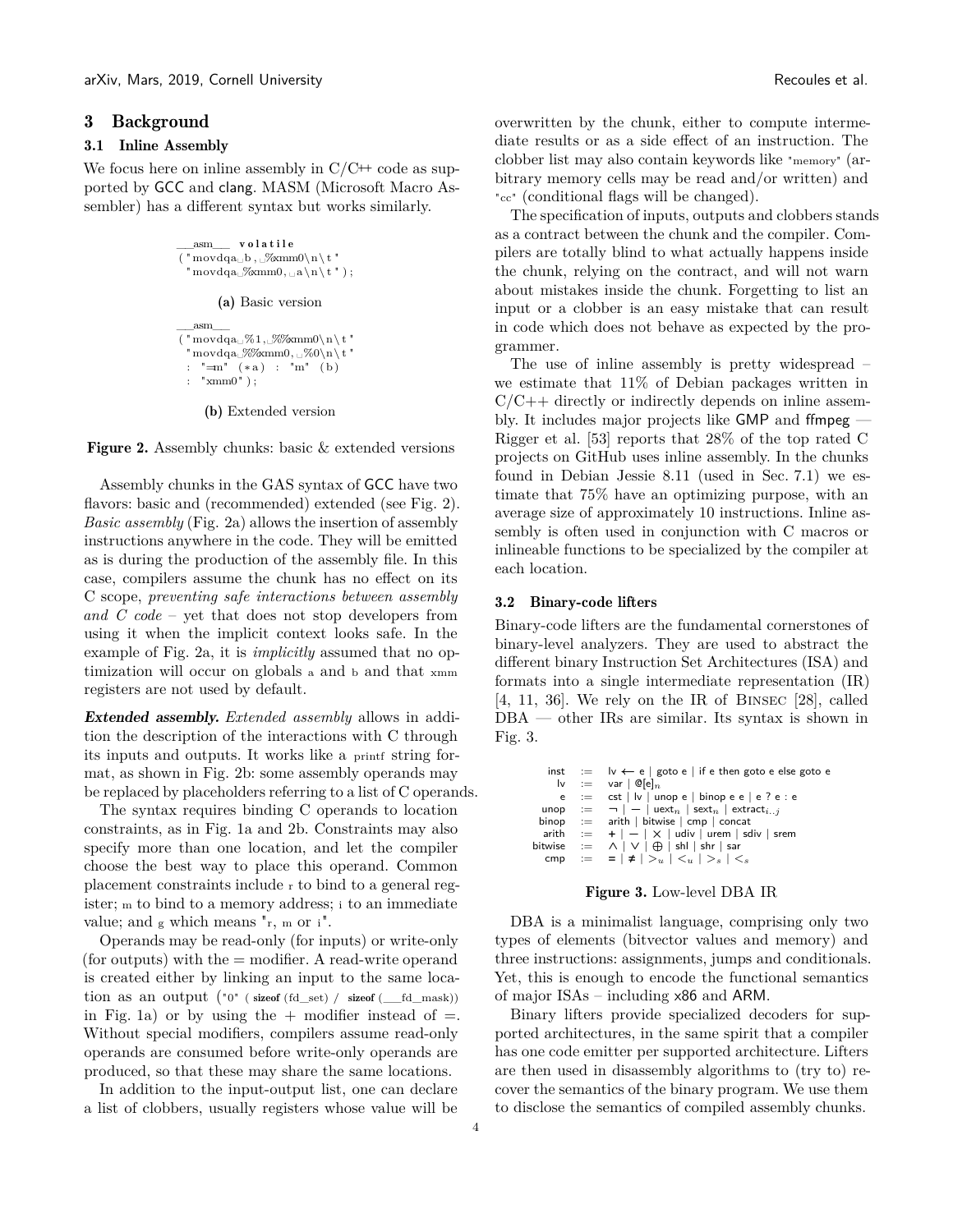#### 3 Background

#### 3.1 Inline Assembly

<span id="page-3-0"></span>We focus here on inline assembly in  $C/C+$  code as supported by GCC and clang. MASM (Microsoft Macro Assembler) has a different syntax but works similarly.

```
asm volatile
( "\mathrm{movdqa}_\sqcup b , \mathop{\cup}\limits^\circ \hspace{-1mm}\mathop{\rm \otimes\!} (n\mathop{\backslash} t\ )\text{movdqa} \propto_{\text{mmo}}(a \cdot a \cdot n \cdot t';
             (a) Basic version
     __asm__
( "\text{movdqa} \& 1, \sqrt{\text{wmm0}} \& 1\text{``movdqa}_{\alpha}%%\text{mm0}, \text{``movdqa}_{\alpha}: "=m" (∗ a ) : "m" (b )
     "\,\mathrm{xmm0}" ) ;
```
(b) Extended version

Figure 2. Assembly chunks: basic & extended versions

Assembly chunks in the GAS syntax of GCC have two flavors: basic and (recommended) extended (see [Fig. 2\)](#page-3-0). *Basic assembly* [\(Fig. 2a\)](#page-3-0) allows the insertion of assembly instructions anywhere in the code. They will be emitted as is during the production of the assembly file. In this case, compilers assume the chunk has no effect on its C scope, *preventing safe interactions between assembly and C code* – yet that does not stop developers from using it when the implicit context looks safe. In the example of [Fig. 2a,](#page-3-0) it is *implicitly* assumed that no optimization will occur on globals <sup>a</sup> and <sup>b</sup> and that xmm registers are not used by default.

Extended assembly. *Extended assembly* allows in addition the description of the interactions with C through its inputs and outputs. It works like a printf string format, as shown in [Fig. 2b:](#page-3-0) some assembly operands may be replaced by placeholders referring to a list of C operands.

The syntax requires binding C operands to location constraints, as in [Fig. 1a](#page-2-0) and [2b.](#page-3-0) Constraints may also specify more than one location, and let the compiler choose the best way to place this operand. Common placement constraints include r to bind to a general register; m to bind to a memory address; i to an immediate value; and g which means "r, m or i".

Operands may be read-only (for inputs) or write-only (for outputs) with the  $=$  modifier. A read-write operand is created either by linking an input to the same location as an output  $("0"$  ( $\text{sizeof}$   $(\text{fd\_set})$  /  $\text{sizeof}$   $(\underline{\text{fd\_mask}}))$ in [Fig. 1a\)](#page-2-0) or by using the  $+$  modifier instead of  $=$ . Without special modifiers, compilers assume read-only operands are consumed before write-only operands are produced, so that these may share the same locations.

In addition to the input-output list, one can declare a list of clobbers, usually registers whose value will be

overwritten by the chunk, either to compute intermediate results or as a side effect of an instruction. The clobber list may also contain keywords like "memory" (arbitrary memory cells may be read and/or written) and "cc" (conditional flags will be changed).

The specification of inputs, outputs and clobbers stands as a contract between the chunk and the compiler. Compilers are totally blind to what actually happens inside the chunk, relying on the contract, and will not warn about mistakes inside the chunk. Forgetting to list an input or a clobber is an easy mistake that can result in code which does not behave as expected by the programmer.

The use of inline assembly is pretty widespread – we estimate that 11% of Debian packages written in  $C/C++$  directly or indirectly depends on inline assembly. It includes major projects like GMP and ffmpeg — Rigger et al. [\[53\]](#page-14-0) reports that 28% of the top rated C projects on GitHub uses inline assembly. In the chunks found in Debian Jessie 8.11 (used in [Sec. 7.1\)](#page-8-2) we estimate that 75% have an optimizing purpose, with an average size of approximately 10 instructions. Inline assembly is often used in conjunction with C macros or inlineable functions to be specialized by the compiler at each location.

#### 3.2 Binary-code lifters

Binary-code lifters are the fundamental cornerstones of binary-level analyzers. They are used to abstract the different binary Instruction Set Architectures (ISA) and formats into a single intermediate representation (IR) [4, [11](#page-13-1), 36]. We rely on the IR of Binsec [\[28\]](#page-13-3), called DBA — other IRs are similar. Its syntax is shown in [Fig. 3.](#page-3-1)

```
inst := \vert v \leftarrow e \vert goto e | if e then goto e else goto e<br>\vert v \vert := \vert var \vert ©[e]<sub>n</sub>
            \begin{array}{rcl} \mathsf{I}\mathsf{v} & := & \mathsf{var} \mid \mathsf{Q}[\mathsf{e}]_n \ \mathsf{e} & := & \mathsf{cst} \mid \mathsf{I}\mathsf{v} \mid \mathsf{u}\mathsf{r} \end{array}e := cst | lv | unop e | binop e e | e ? e : e<br>unop := \neg | - | uext<sub>n</sub> | sext<sub>n</sub> | extract<sub>i..j</sub>
  \lim_{n \to \infty} : \frac{1}{n} - \frac{1}{n} | uext<sub>n</sub> | sext<sub>n</sub> | extract<sub>i..j</sub> binop : arith | bitwise | cmp | concat
                                   arith | bitwise | cmp | concat
     \text{arith} := + | - | \times | udiv | urem | sdiv | srem
\begin{array}{rcl} \mathsf{bitwise} & := & \wedge \mid \vee \mid \oplus \mid \mathsf{shl} \mid \mathsf{shr} \mid \mathsf{sar} \end{array}comp := | \neq | >u | <u>| >s | <s
```
#### Figure 3. Low-level DBA IR

DBA is a minimalist language, comprising only two types of elements (bitvector values and memory) and three instructions: assignments, jumps and conditionals. Yet, this is enough to encode the functional semantics of major ISAs – including x86 and ARM.

Binary lifters provide specialized decoders for supported architectures, in the same spirit that a compiler has one code emitter per supported architecture. Lifters are then used in disassembly algorithms to (try to) recover the semantics of the binary program. We use them to disclose the semantics of compiled assembly chunks.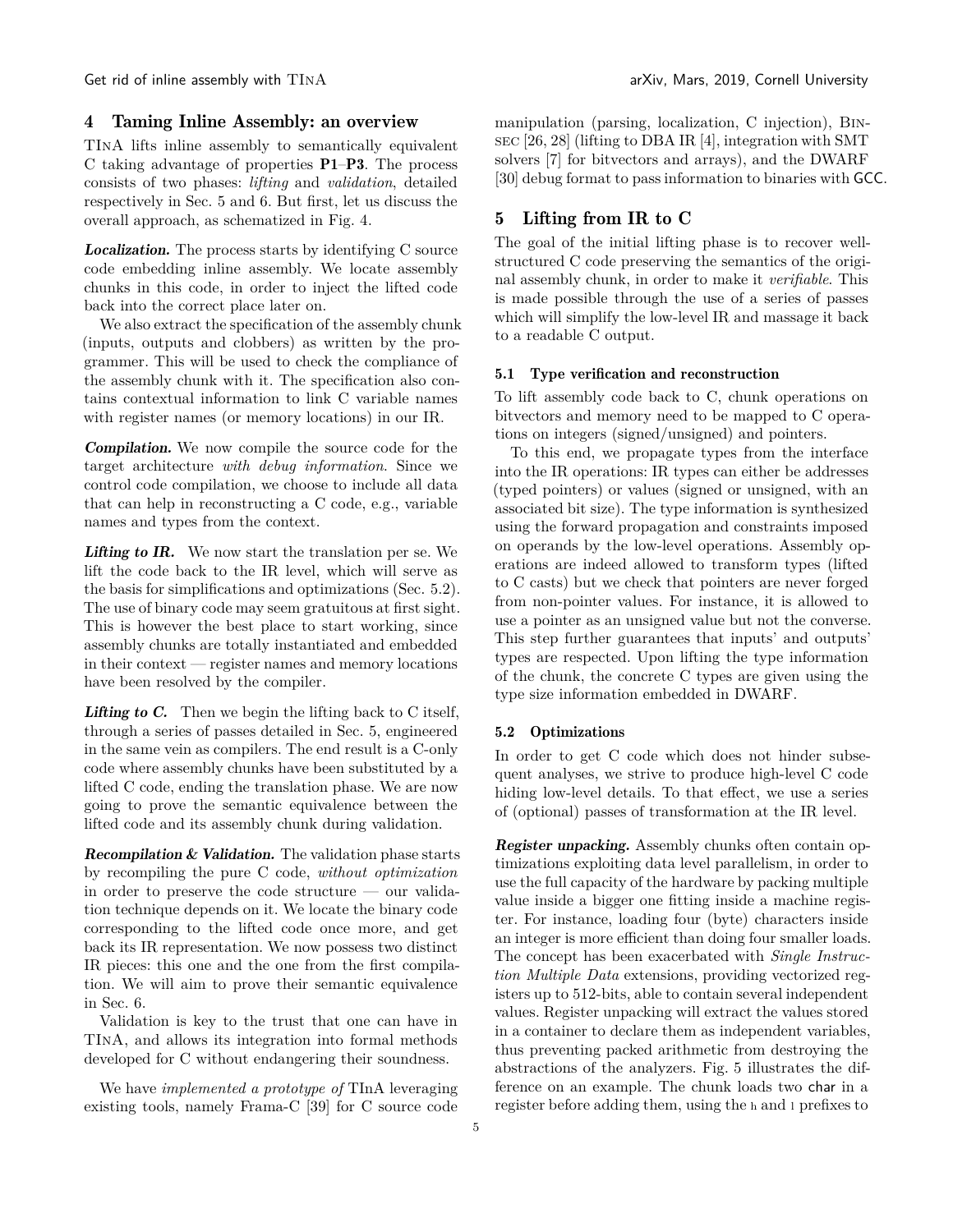Get rid of inline assembly with  $TINA$  arXiv, Mars, 2019, Cornell University

## <span id="page-4-0"></span>4 Taming Inline Assembly: an overview

TInA lifts inline assembly to semantically equivalent C taking advantage of properties [P1](#page-2-3)–[P3](#page-2-4). The process consists of two phases: *lifting* and *validation*, detailed respectively in [Sec. 5](#page-4-1) and [6.](#page-6-0) But first, let us discuss the overall approach, as schematized in [Fig. 4.](#page-5-0)

Localization. The process starts by identifying C source code embedding inline assembly. We locate assembly chunks in this code, in order to inject the lifted code back into the correct place later on.

We also extract the specification of the assembly chunk (inputs, outputs and clobbers) as written by the programmer. This will be used to check the compliance of the assembly chunk with it. The specification also contains contextual information to link C variable names with register names (or memory locations) in our IR.

Compilation. We now compile the source code for the target architecture *with debug information*. Since we control code compilation, we choose to include all data that can help in reconstructing a C code, e.g., variable names and types from the context.

Lifting to IR. We now start the translation per se. We lift the code back to the IR level, which will serve as the basis for simplifications and optimizations [\(Sec. 5.2\)](#page-4-2). The use of binary code may seem gratuitous at first sight. This is however the best place to start working, since assembly chunks are totally instantiated and embedded in their context — register names and memory locations have been resolved by the compiler.

Lifting to C. Then we begin the lifting back to C itself, through a series of passes detailed in [Sec. 5,](#page-4-1) engineered in the same vein as compilers. The end result is a C-only code where assembly chunks have been substituted by a lifted C code, ending the translation phase. We are now going to prove the semantic equivalence between the lifted code and its assembly chunk during validation.

**Recompilation & Validation.** The validation phase starts by recompiling the pure C code, *without optimization* in order to preserve the code structure — our validation technique depends on it. We locate the binary code corresponding to the lifted code once more, and get back its IR representation. We now possess two distinct IR pieces: this one and the one from the first compilation. We will aim to prove their semantic equivalence in [Sec. 6.](#page-6-0)

Validation is key to the trust that one can have in TInA, and allows its integration into formal methods developed for C without endangering their soundness.

We have *implemented a prototype of* TInA leveraging existing tools, namely Frama-C [39] for C source code

manipulation (parsing, localization, C injection), Binsec [26, [28\]](#page-13-3) (lifting to DBA IR [4], integration with SMT solvers [7] for bitvectors and arrays), and the DWARF [\[30\]](#page-13-4) debug format to pass information to binaries with GCC.

# <span id="page-4-1"></span>5 Lifting from IR to C

The goal of the initial lifting phase is to recover wellstructured C code preserving the semantics of the original assembly chunk, in order to make it *verifiable*. This is made possible through the use of a series of passes which will simplify the low-level IR and massage it back to a readable C output.

#### 5.1 Type verification and reconstruction

To lift assembly code back to C, chunk operations on bitvectors and memory need to be mapped to C operations on integers (signed/unsigned) and pointers.

To this end, we propagate types from the interface into the IR operations: IR types can either be addresses (typed pointers) or values (signed or unsigned, with an associated bit size). The type information is synthesized using the forward propagation and constraints imposed on operands by the low-level operations. Assembly operations are indeed allowed to transform types (lifted to C casts) but we check that pointers are never forged from non-pointer values. For instance, it is allowed to use a pointer as an unsigned value but not the converse. This step further guarantees that inputs' and outputs' types are respected. Upon lifting the type information of the chunk, the concrete C types are given using the type size information embedded in DWARF.

#### <span id="page-4-2"></span>5.2 Optimizations

In order to get C code which does not hinder subsequent analyses, we strive to produce high-level C code hiding low-level details. To that effect, we use a series of (optional) passes of transformation at the IR level.

Register unpacking. Assembly chunks often contain optimizations exploiting data level parallelism, in order to use the full capacity of the hardware by packing multiple value inside a bigger one fitting inside a machine register. For instance, loading four (byte) characters inside an integer is more efficient than doing four smaller loads. The concept has been exacerbated with *Single Instruction Multiple Data* extensions, providing vectorized registers up to 512-bits, able to contain several independent values. Register unpacking will extract the values stored in a container to declare them as independent variables, thus preventing packed arithmetic from destroying the abstractions of the analyzers. [Fig. 5](#page-5-1) illustrates the difference on an example. The chunk loads two char in a register before adding them, using the <sup>h</sup> and <sup>l</sup> prefixes to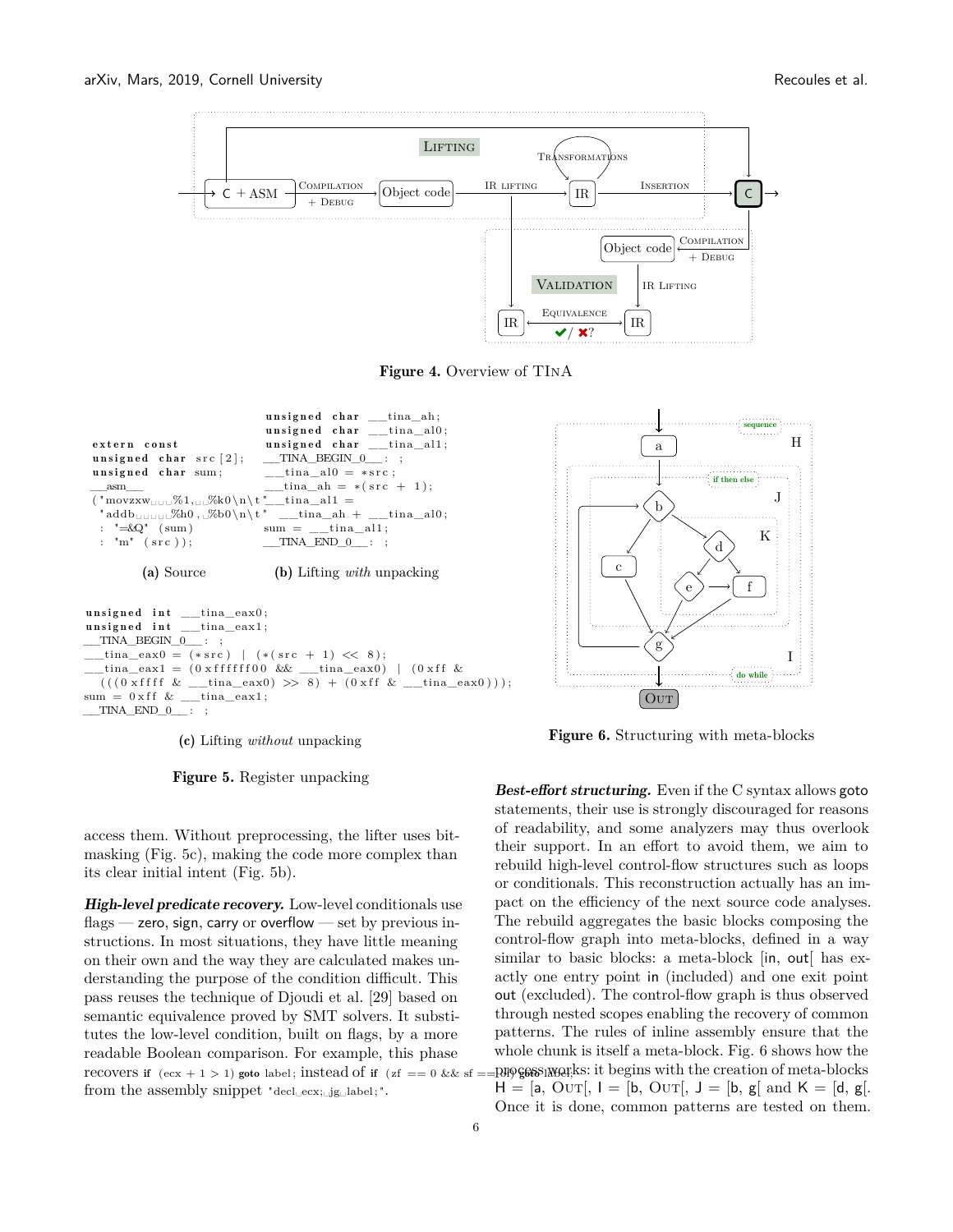<span id="page-5-0"></span>

Figure 4. Overview of TInA

<span id="page-5-1"></span>

 $usingned$  int  $_\_time$   $_{\_}max0$ ;  $unsigned int __time1;$  $\begin{array}{ccc} \text{TINA\_BEGIN\_0} & : \end{array}$  $_{\text{tina\_eax0}} = (* \text{src}) \mid (* (\text{src } + 1) \ll 8);$  $\text{tina\_eax1} = (0 \times \text{efffff00} \& \underline{\hspace{1cm}} \text{min\_eax0})$  |  $(0 \times \text{ff} \&$  $\left( \, ( \, ( \, 0 \, \, x \, \mathrm{fff} \, \, \& \, \, \underline{\hspace{1cm}} \, \underline{\hspace{1cm}} \, \underline{\hspace{1cm}} \, \underline{\hspace{1cm}} \, \underline{\hspace{1cm}} \, \underline{\hspace{1cm}} \, \underline{\hspace{1cm}} \, \underline{\hspace{1cm}} \, \underline{\hspace{1cm}} \, \underline{\hspace{1cm}} \, \underline{\hspace{1cm}} \, \underline{\hspace{1cm}} \, \underline{\hspace{1cm}} \, \underline{\hspace{1cm}} \, \underline{\hspace{1cm}} \, \underline{\hspace{1cm}} \, \underline{\hspace{1cm$  $\label{eq:sum} \mathrm{sum} \ = \ 0 \, \mathrm{x} \, \mathrm{f} \, \mathrm{f} \ \& \ \_\_\_\_\mathrm{tina\_eax1} \, ;$  $\begin{array}{ccc} \text{TINA} & \text{END} & 0 \end{array}$  ;

(c) Lifting *without* unpacking





High-level predicate recovery. Low-level conditionals use  $flags - zero$ , sign, carry or overflow  $-$  set by previous instructions. In most situations, they have little meaning on their own and the way they are calculated makes understanding the purpose of the condition difficult. This pass reuses the technique of Djoudi et al. [\[29\]](#page-13-2) based on semantic equivalence proved by SMT solvers. It substitutes the low-level condition, built on flags, by a more readable Boolean comparison. For example, this phase recovers if  $(ex + 1 > 1)$  goto label; instead of if  $(zf == 0 \&& s f == 0)$ from the assembly snippet "decl␣ecx;␣jg␣label; ".

<span id="page-5-2"></span>

Figure 6. Structuring with meta-blocks

**Best-effort structuring.** Even if the C syntax allows goto statements, their use is strongly discouraged for reasons of readability, and some analyzers may thus overlook their support. In an effort to avoid them, we aim to rebuild high-level control-flow structures such as loops or conditionals. This reconstruction actually has an impact on the efficiency of the next source code analyses. The rebuild aggregates the basic blocks composing the control-flow graph into meta-blocks, defined in a way similar to basic blocks: a meta-block [in, out] has exactly one entry point in (included) and one exit point out (excluded). The control-flow graph is thus observed through nested scopes enabling the recovery of common patterns. The rules of inline assembly ensure that the whole chunk is itself a meta-block. [Fig. 6](#page-5-2) shows how the process works: it begins with the creation of meta-blocks  $H = [a, QUT], I = [b, QUT], J = [b, g[ and K = [d, g].]$ Once it is done, common patterns are tested on them.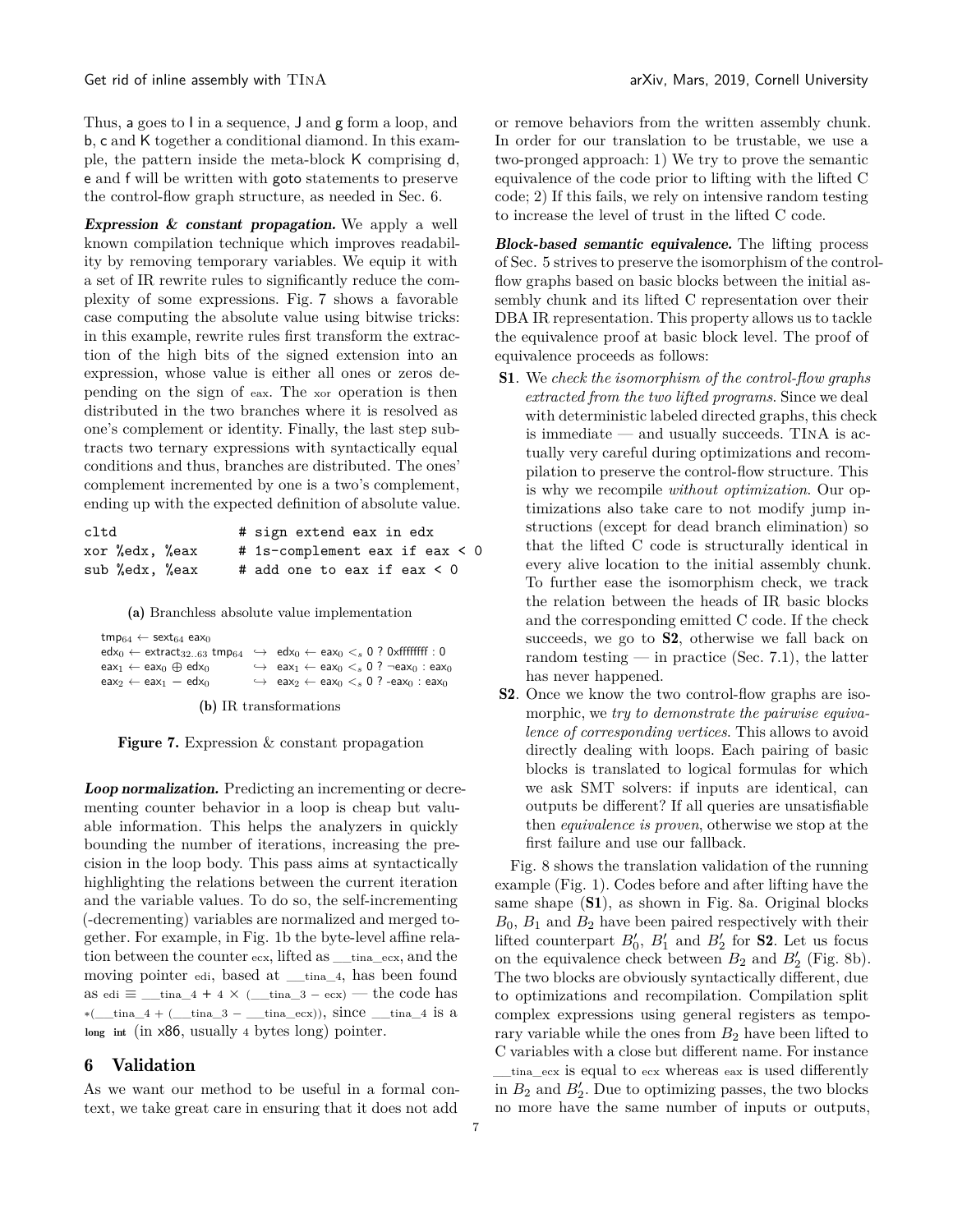Thus, a goes to I in a sequence, J and g form a loop, and b, c and K together a conditional diamond. In this example, the pattern inside the meta-block K comprising d, e and f will be written with goto statements to preserve the control-flow graph structure, as needed in [Sec. 6.](#page-6-0)

**Expression**  $\&$  **constant propagation.** We apply a well known compilation technique which improves readability by removing temporary variables. We equip it with a set of IR rewrite rules to significantly reduce the complexity of some expressions. [Fig. 7](#page-6-1) shows a favorable case computing the absolute value using bitwise tricks: in this example, rewrite rules first transform the extraction of the high bits of the signed extension into an expression, whose value is either all ones or zeros depending on the sign of eax. The xor operation is then distributed in the two branches where it is resolved as one's complement or identity. Finally, the last step subtracts two ternary expressions with syntactically equal conditions and thus, branches are distributed. The ones' complement incremented by one is a two's complement, ending up with the expected definition of absolute value.

<span id="page-6-1"></span>

| cltd           | # sign extend eax in edx        |
|----------------|---------------------------------|
| xor %edx, %eax | # 1s-complement eax if eax < 0  |
| sub %edx, %eax | # add one to eax if eax $\lt 0$ |

(a) Branchless absolute value implementation

 $\begin{aligned} \mathsf{tmp}_{64} \leftarrow \mathsf{sext}_{64} \; \mathsf{eax}_0 \\ \mathsf{edx}_0 \leftarrow \mathsf{extract}_{32..63} \; \mathsf{tmp}_{64} \end{aligned}$  $\leftrightarrow$   $edx_0 \leftarrow$  eax<sub>0</sub>  $\lt_s$  0 ? 0xffffffff : 0  $\begin{array}{ccc}\n\text{eax}_1 \leftarrow \text{eax}_0 \oplus \text{edx}_0 & \rightarrow & \text{eax}_1 \leftarrow \text{eax}_0 \leq_s 0 ? \neg \text{eax}_0 : \text{eax}_0 \\
\text{eax}_2 \leftarrow \text{eax}_1 - \text{edx}_0 & \rightarrow & \text{eax}_2 \leftarrow \text{eax}_0 \leq_s 0 ? \neg \text{eax}_0 : \text{eax}_0\n\end{array}$  $\leftrightarrow$  eax<sub>2</sub> ← eax<sub>0</sub> <<sub>*s*</sub> 0 ? -eax<sub>0</sub> : eax<sub>0</sub>

(b) IR transformations

Figure 7. Expression & constant propagation

Loop normalization. Predicting an incrementing or decrementing counter behavior in a loop is cheap but valuable information. This helps the analyzers in quickly bounding the number of iterations, increasing the precision in the loop body. This pass aims at syntactically highlighting the relations between the current iteration and the variable values. To do so, the self-incrementing (-decrementing) variables are normalized and merged together. For example, in [Fig. 1b](#page-2-0) the byte-level affine relation between the counter ecx, lifted as \_\_tina\_ecx, and the moving pointer edi, based at \_\_tina\_4, has been found as edi  $\equiv$  \_\_tina\_4 + 4  $\times$  (\_\_tina\_3 – ecx) — the code has  $*(\underline{\hspace{1cm}} \text{tina\_4} + (\underline{\hspace{1cm}} \text{tina\_3} - \underline{\hspace{1cm}} \text{tina\_ecx})),$  since  $\underline{\hspace{1cm}} \text{tina\_4}$  is a long int (in x86, usually 4 bytes long) pointer.

# <span id="page-6-0"></span>6 Validation

As we want our method to be useful in a formal context, we take great care in ensuring that it does not add

or remove behaviors from the written assembly chunk. In order for our translation to be trustable, we use a two-pronged approach: 1) We try to prove the semantic equivalence of the code prior to lifting with the lifted C code; 2) If this fails, we rely on intensive random testing to increase the level of trust in the lifted C code.

Block-based semantic equivalence. The lifting process of [Sec. 5](#page-4-1) strives to preserve the isomorphism of the controlflow graphs based on basic blocks between the initial assembly chunk and its lifted C representation over their DBA IR representation. This property allows us to tackle the equivalence proof at basic block level. The proof of equivalence proceeds as follows:

- <span id="page-6-3"></span>S1. We *check the isomorphism of the control-flow graphs extracted from the two lifted programs*. Since we deal with deterministic labeled directed graphs, this check is immediate — and usually succeeds. TINA is actually very careful during optimizations and recompilation to preserve the control-flow structure. This is why we recompile *without optimization*. Our optimizations also take care to not modify jump instructions (except for dead branch elimination) so that the lifted C code is structurally identical in every alive location to the initial assembly chunk. To further ease the isomorphism check, we track the relation between the heads of IR basic blocks and the corresponding emitted C code. If the check succeeds, we go to [S2](#page-6-2), otherwise we fall back on random testing — in practice [\(Sec. 7.1\)](#page-8-2), the latter has never happened.
- <span id="page-6-2"></span>S2. Once we know the two control-flow graphs are isomorphic, we *try to demonstrate the pairwise equivalence of corresponding vertices*. This allows to avoid directly dealing with loops. Each pairing of basic blocks is translated to logical formulas for which we ask SMT solvers: if inputs are identical, can outputs be different? If all queries are unsatisfiable then *equivalence is proven*, otherwise we stop at the first failure and use our fallback.

[Fig. 8](#page-7-0) shows the translation validation of the running example [\(Fig. 1\)](#page-2-0). Codes before and after lifting have the same shape ([S1](#page-6-3)), as shown in [Fig. 8a.](#page-7-0) Original blocks  $B_0$ ,  $B_1$  and  $B_2$  have been paired respectively with their lifted counterpart  $B'_0$ ,  $B'_1$  and  $B'_2$  for **[S2](#page-6-2)**. Let us focus on the equivalence check between  $B_2$  and  $B'_2$  [\(Fig. 8b\)](#page-7-0). The two blocks are obviously syntactically different, due to optimizations and recompilation. Compilation split complex expressions using general registers as temporary variable while the ones from  $B_2$  have been lifted to C variables with a close but different name. For instance \_\_tina\_ecx is equal to ecx whereas eax is used differently in  $B_2$  and  $B'_2$ . Due to optimizing passes, the two blocks no more have the same number of inputs or outputs,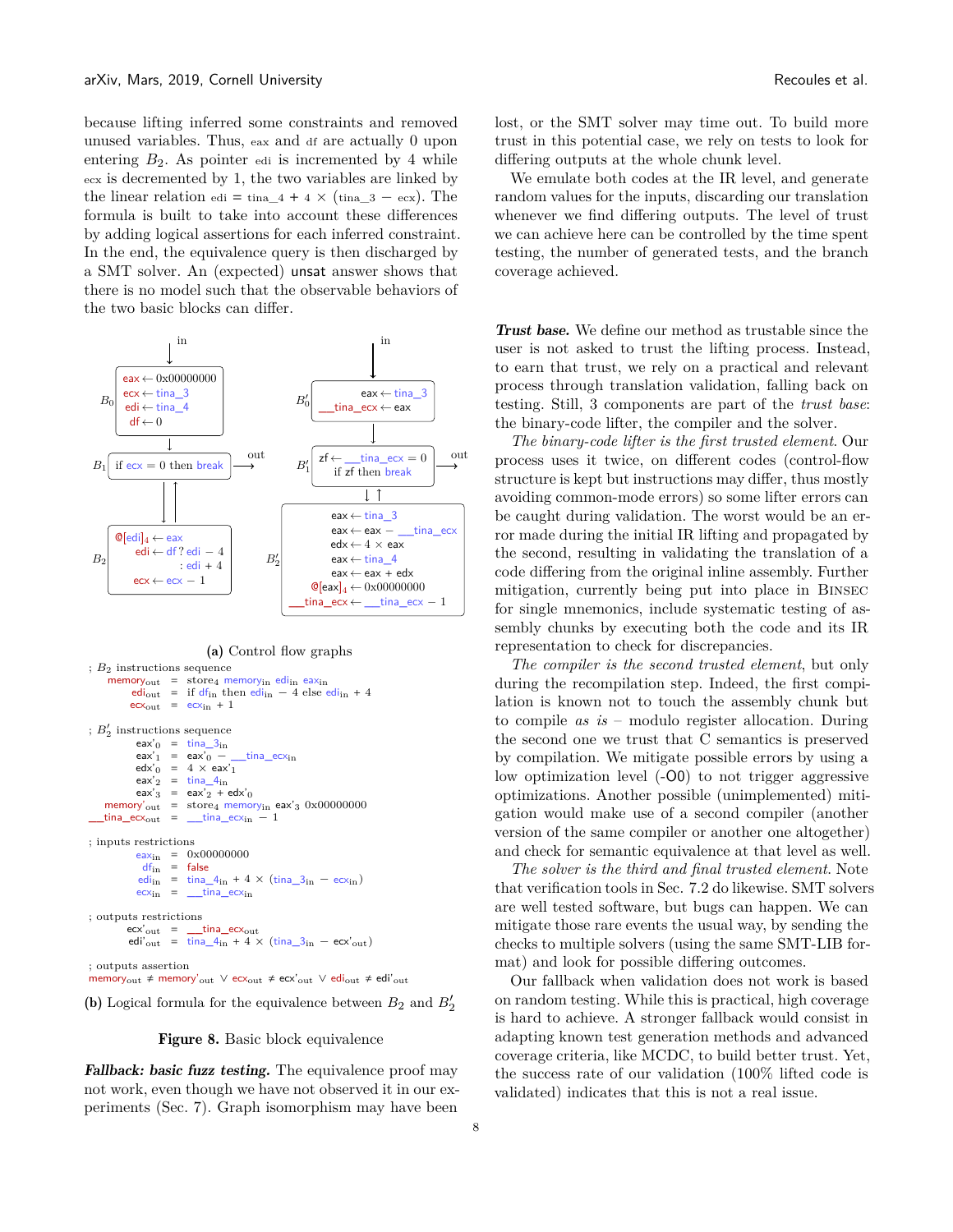because lifting inferred some constraints and removed unused variables. Thus, eax and df are actually 0 upon entering  $B_2$ . As pointer edi is incremented by 4 while ecx is decremented by 1, the two variables are linked by the linear relation edi = tina\_4 + 4  $\times$  (tina\_3 – ecx). The formula is built to take into account these differences by adding logical assertions for each inferred constraint. In the end, the equivalence query is then discharged by a SMT solver. An (expected) unsat answer shows that there is no model such that the observable behaviors of the two basic blocks can differ.

<span id="page-7-0"></span>

#### (a) Control flow graphs

```
; B2 instructions sequence
      memory_{out} = store<sub>4</sub> memory<sub>in</sub> edi<sub>in</sub> eax<sub>in</sub>
              edi<sub>out</sub> = if df<sub>in</sub> then edi<sub>in</sub> - 4 else edi<sub>in</sub> + 4
              eccx_{out} = ccx_{in} + 1; B'_2 instructions sequence
                eax'_0 = \text{tina\_3}_{in}eax'_1 = eax'_0 – _time_ecx_{in}edx'_0 = 4 \times eax'_1eax'_2 = \text{tina\_4}_{in}eax'3 = eax'2 + edx'0memory'<sub>out</sub> = store<sub>4</sub> memory<sub>in</sub> eax'<sub>3</sub> 0x00000000
    \text{tina\_ecx}_{\text{out}} = \text{tina\_ecx}_{\text{in}} - 1; inputs restrictions
                eax_{in} = 0 \times 000000000df_{\rm in} \  \  \, = \  \  \, \mathsf{false}edi<sub>in</sub> = \text{tina\_}4_{\text{in}} + 4 \times (\text{tina\_}3_{\text{in}} - \text{ecx}_{\text{in}})e c x_{in} = \underline{\qquad}tina\underline{\qquad} e c x_{in}; outputs restrictions
             \text{ecx'}_{\text{out}} = \frac{\text{tina\_ecx}_{\text{out}}}{\text{tina\_4}_{\text{in}} + 4}= tina_4<sub>in</sub> + 4 × (tina_3<sub>in</sub> – ecx'<sub>out</sub>)
; outputs assertion
memory<sub>out</sub> ≠ memory'<sub>out</sub> \lor ecx<sub>out</sub> ≠ ecx'<sub>out</sub> \lor edi<sub>out</sub> ≠ edi'<sub>out</sub>
```
(b) Logical formula for the equivalence between  $B_2$  and  $B_2'$ 



Fallback: basic fuzz testing. The equivalence proof may not work, even though we have not observed it in our experiments [\(Sec. 7\)](#page-8-0). Graph isomorphism may have been

lost, or the SMT solver may time out. To build more trust in this potential case, we rely on tests to look for differing outputs at the whole chunk level.

We emulate both codes at the IR level, and generate random values for the inputs, discarding our translation whenever we find differing outputs. The level of trust we can achieve here can be controlled by the time spent testing, the number of generated tests, and the branch coverage achieved.

Trust base. We define our method as trustable since the user is not asked to trust the lifting process. Instead, to earn that trust, we rely on a practical and relevant process through translation validation, falling back on testing. Still, 3 components are part of the *trust base*: the binary-code lifter, the compiler and the solver.

*The binary-code lifter is the first trusted element*. Our process uses it twice, on different codes (control-flow structure is kept but instructions may differ, thus mostly avoiding common-mode errors) so some lifter errors can be caught during validation. The worst would be an error made during the initial IR lifting and propagated by the second, resulting in validating the translation of a code differing from the original inline assembly. Further mitigation, currently being put into place in Binsec for single mnemonics, include systematic testing of assembly chunks by executing both the code and its IR representation to check for discrepancies.

*The compiler is the second trusted element*, but only during the recompilation step. Indeed, the first compilation is known not to touch the assembly chunk but to compile *as is* – modulo register allocation. During the second one we trust that C semantics is preserved by compilation. We mitigate possible errors by using a low optimization level (-O0) to not trigger aggressive optimizations. Another possible (unimplemented) mitigation would make use of a second compiler (another version of the same compiler or another one altogether) and check for semantic equivalence at that level as well.

*The solver is the third and final trusted element*. Note that verification tools in [Sec. 7.2](#page-8-1) do likewise. SMT solvers are well tested software, but bugs can happen. We can mitigate those rare events the usual way, by sending the checks to multiple solvers (using the same SMT-LIB format) and look for possible differing outcomes.

Our fallback when validation does not work is based on random testing. While this is practical, high coverage is hard to achieve. A stronger fallback would consist in adapting known test generation methods and advanced coverage criteria, like MCDC, to build better trust. Yet, the success rate of our validation (100% lifted code is validated) indicates that this is not a real issue.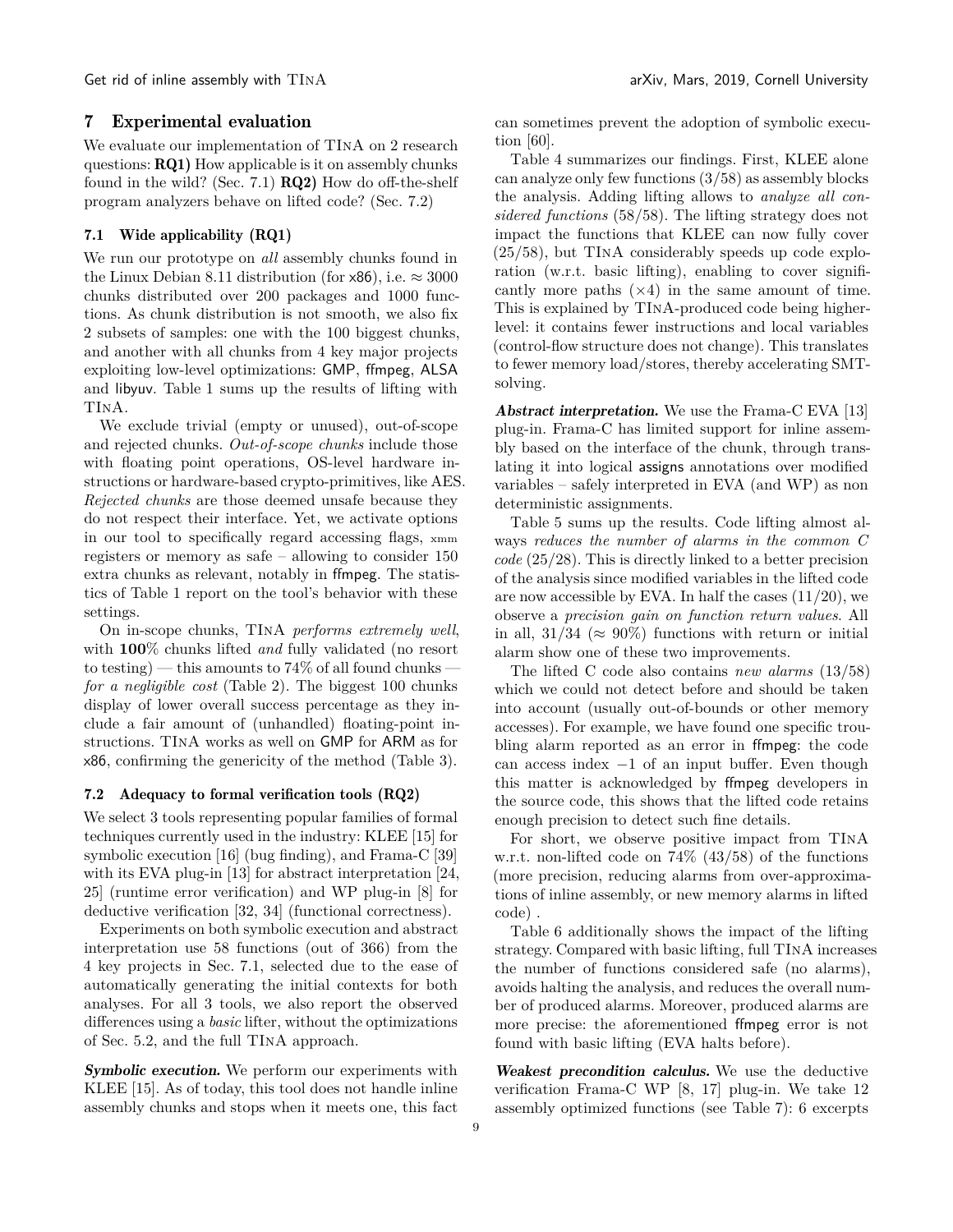Get rid of inline assembly with  $TINA$  arXiv, Mars, 2019, Cornell University

#### <span id="page-8-0"></span>7 Experimental evaluation

<span id="page-8-4"></span><span id="page-8-3"></span>We evaluate our implementation of TInA on 2 research questions: RQ1) How applicable is it on assembly chunks found in the wild? [\(Sec. 7.1\)](#page-8-2)  $RQ2$ ) How do off-the-shelf program analyzers behave on lifted code? [\(Sec. 7.2\)](#page-8-1)

## <span id="page-8-2"></span>7.1 Wide applicability [\(RQ1\)](#page-8-3)

We run our prototype on *all* assembly chunks found in the Linux Debian 8.11 distribution (for  $\times 86$ ), i.e.  $\approx 3000$ chunks distributed over 200 packages and 1000 functions. As chunk distribution is not smooth, we also fix 2 subsets of samples: one with the 100 biggest chunks, and another with all chunks from 4 key major projects exploiting low-level optimizations: GMP, ffmpeg, ALSA and libyuv. [Table 1](#page-9-0) sums up the results of lifting with TInA.

We exclude trivial (empty or unused), out-of-scope and rejected chunks. *Out-of-scope chunks* include those with floating point operations, OS-level hardware instructions or hardware-based crypto-primitives, like AES. *Rejected chunks* are those deemed unsafe because they do not respect their interface. Yet, we activate options in our tool to specifically regard accessing flags, xmm registers or memory as safe – allowing to consider 150 extra chunks as relevant, notably in ffmpeg. The statistics of [Table 1](#page-9-0) report on the tool's behavior with these settings.

On in-scope chunks, TInA *performs extremely well*, with **100**% chunks lifted *and* fully validated (no resort to testing) — this amounts to  $74\%$  of all found chunks *for a negligible cost* [\(Table 2\)](#page-9-2). The biggest 100 chunks display of lower overall success percentage as they include a fair amount of (unhandled) floating-point instructions. TInA works as well on GMP for ARM as for x86, confirming the genericity of the method [\(Table 3\)](#page-10-0).

#### <span id="page-8-1"></span>7.2 Adequacy to formal verification tools [\(RQ2\)](#page-8-4)

We select 3 tools representing popular families of formal techniques currently used in the industry: KLEE [15] for symbolic execution [16] (bug finding), and Frama-C [39] with its EVA plug-in [13] for abstract interpretation [24, 25] (runtime error verification) and WP plug-in [\[8\]](#page-13-5) for deductive verification [\[32](#page-13-0), 34] (functional correctness).

Experiments on both symbolic execution and abstract interpretation use 58 functions (out of 366) from the 4 key projects in [Sec. 7.1,](#page-8-2) selected due to the ease of automatically generating the initial contexts for both analyses. For all 3 tools, we also report the observed differences using a *basic* lifter, without the optimizations of [Sec. 5.2,](#page-4-2) and the full TInA approach.

Symbolic execution. We perform our experiments with KLEE [15]. As of today, this tool does not handle inline assembly chunks and stops when it meets one, this fact

can sometimes prevent the adoption of symbolic execution [\[60](#page-14-5)].

[Table 4](#page-10-1) summarizes our findings. First, KLEE alone can analyze only few functions (3/58) as assembly blocks the analysis. Adding lifting allows to *analyze all considered functions* (58/58). The lifting strategy does not impact the functions that KLEE can now fully cover (25/58), but TInA considerably speeds up code exploration (w.r.t. basic lifting), enabling to cover significantly more paths  $(x4)$  in the same amount of time. This is explained by TInA-produced code being higherlevel: it contains fewer instructions and local variables (control-flow structure does not change). This translates to fewer memory load/stores, thereby accelerating SMTsolving.

Abstract interpretation. We use the Frama-C EVA [13] plug-in. Frama-C has limited support for inline assembly based on the interface of the chunk, through translating it into logical assigns annotations over modified variables – safely interpreted in EVA (and WP) as non deterministic assignments.

[Table 5](#page-11-0) sums up the results. Code lifting almost always *reduces the number of alarms in the common C code* (25/28). This is directly linked to a better precision of the analysis since modified variables in the lifted code are now accessible by EVA. In half the cases  $(11/20)$ , we observe a *precision gain on function return values*. All in all, 31/34 ( $\approx 90\%$ ) functions with return or initial alarm show one of these two improvements.

The lifted C code also contains *new alarms* (13/58) which we could not detect before and should be taken into account (usually out-of-bounds or other memory accesses). For example, we have found one specific troubling alarm reported as an error in ffmpeg: the code can access index −1 of an input buffer. Even though this matter is acknowledged by ffmpeg developers in the source code, this shows that the lifted code retains enough precision to detect such fine details.

For short, we observe positive impact from TInA w.r.t. non-lifted code on 74% (43/58) of the functions (more precision, reducing alarms from over-approximations of inline assembly, or new memory alarms in lifted code) .

[Table 6](#page-11-1) additionally shows the impact of the lifting strategy. Compared with basic lifting, full TInA increases the number of functions considered safe (no alarms), avoids halting the analysis, and reduces the overall number of produced alarms. Moreover, produced alarms are more precise: the aforementioned ffmpeg error is not found with basic lifting (EVA halts before).

Weakest precondition calculus. We use the deductive verification Frama-C WP [\[8,](#page-13-5) 17] plug-in. We take 12 assembly optimized functions (see [Table 7\)](#page-12-0): 6 excerpts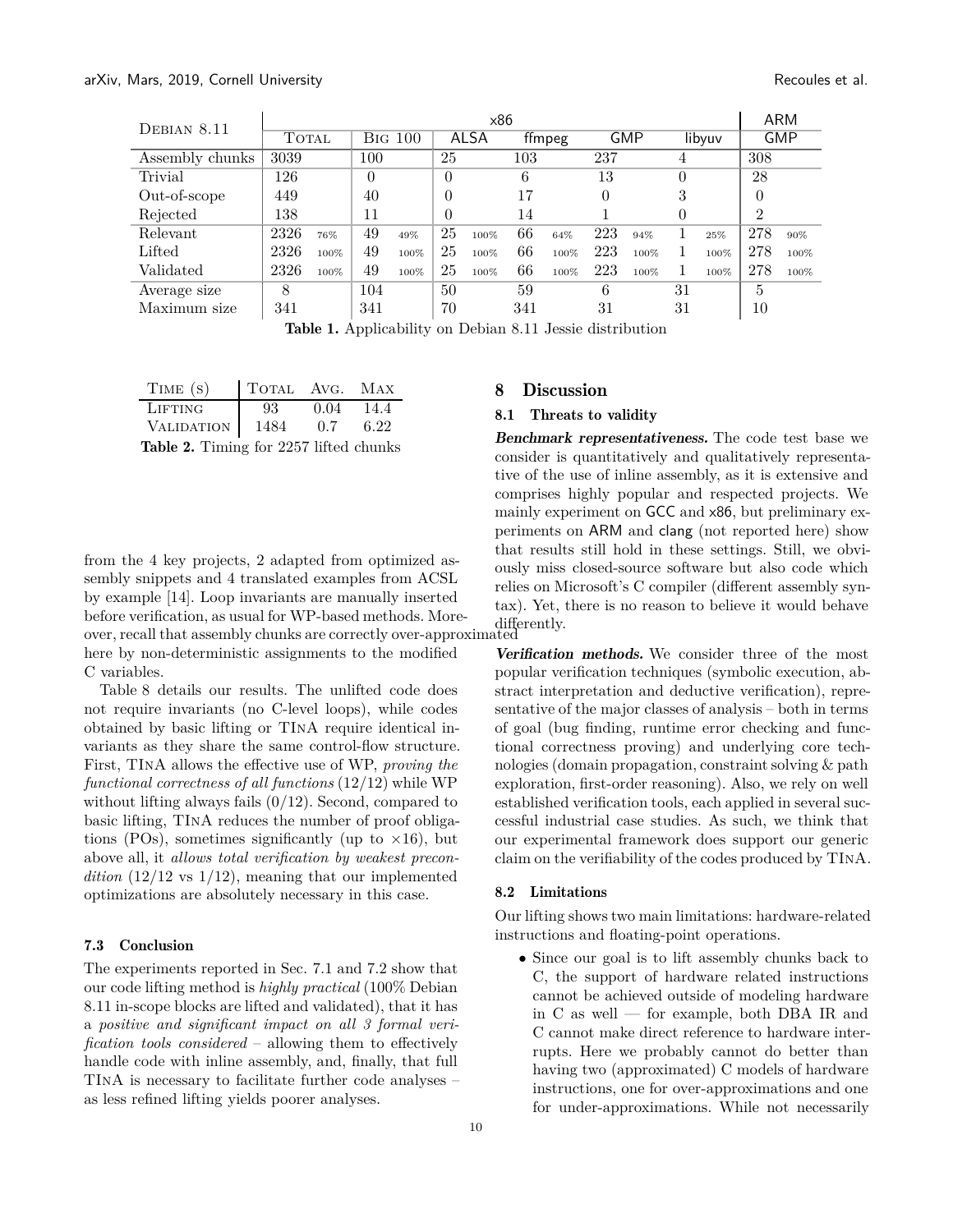<span id="page-9-0"></span>

| DEBIAN 8.11     | x86   |      |                |      |                |      |        |      |            |      |        | <b>ARM</b> |                |      |
|-----------------|-------|------|----------------|------|----------------|------|--------|------|------------|------|--------|------------|----------------|------|
|                 | TOTAL |      | <b>BIG 100</b> |      | ALSA           |      | ffmpeg |      | <b>GMP</b> |      | libyuv |            | <b>GMP</b>     |      |
| Assembly chunks | 3039  |      | 100            |      | 25             |      | 103    |      | 237        |      | 4      |            | 308            |      |
| Trivial         | 126   |      | $\theta$       |      | $\theta$       |      | 6      |      | 13         |      | 0      |            | 28             |      |
| Out-of-scope    | 449   |      | 40             |      | $\theta$       |      | 17     |      | 0          |      | 3      |            | $\theta$       |      |
| Rejected        | 138   |      | 11             |      | $\overline{0}$ |      | 14     |      |            |      | 0      |            | $\overline{2}$ |      |
| Relevant        | 2326  | 76%  | 49             | 49%  | 25             | 100% | 66     | 64%  | 223        | 94%  |        | 25%        | 278            | 90%  |
| Lifted          | 2326  | 100% | 49             | 100% | 25             | 100% | 66     | 100% | 223        | 100% |        | 100%       | 278            | 100% |
| Validated       | 2326  | 100% | 49             | 100% | 25             | 100% | 66     | 100% | 223        | 100% |        | 100%       | 278            | 100% |
| Average size    | 8     |      | 104            |      | 50             |      | 59     |      | 6          |      | 31     |            | 5              |      |
| Maximum size    | 341   |      | 341            |      | 70             |      | 341    |      | 31         |      | 31     |            | 10             |      |
|                 |       |      |                |      |                |      |        |      |            |      |        |            |                |      |

Table 1. Applicability on Debian 8.11 Jessie distribution

<span id="page-9-2"></span>

| TIME(S)                                                                                                                                                                                                                                                                                      | TOTAL AVG. MAX |             |      |
|----------------------------------------------------------------------------------------------------------------------------------------------------------------------------------------------------------------------------------------------------------------------------------------------|----------------|-------------|------|
| LIFTING                                                                                                                                                                                                                                                                                      | 93             | $0.04$ 14.4 |      |
| VALIDATION 1484                                                                                                                                                                                                                                                                              |                | 0.7         | 6.22 |
| $Table 9$ $T^{\text{im}}$ $\hat{f}$ $\hat{f}$ $\hat{f}$ $\hat{f}$ $\hat{f}$ $\hat{f}$ $\hat{f}$ $\hat{f}$ $\hat{f}$ $\hat{f}$ $\hat{f}$ $\hat{f}$ $\hat{f}$ $\hat{f}$ $\hat{f}$ $\hat{f}$ $\hat{f}$ $\hat{f}$ $\hat{f}$ $\hat{f}$ $\hat{f}$ $\hat{f}$ $\hat{f}$ $\hat{f}$ $\hat{f}$ $\hat{f$ |                |             |      |

Table 2. Timing for 2257 lifted chunks

from the 4 key projects, 2 adapted from optimized assembly snippets and 4 translated examples from ACSL by example [\[14\]](#page-13-6). Loop invariants are manually inserted before verification, as usual for WP-based methods. Morebefore vermeation, as usual for W1-based methods. More-<br>over, recall that assembly chunks are correctly over-approximated here by non-deterministic assignments to the modified C variables.

[Table 8](#page-12-1) details our results. The unlifted code does not require invariants (no C-level loops), while codes obtained by basic lifting or TInA require identical invariants as they share the same control-flow structure. First, TInA allows the effective use of WP, *proving the functional correctness of all functions* (12/12) while WP without lifting always fails  $(0/12)$ . Second, compared to basic lifting, TInA reduces the number of proof obligations (POs), sometimes significantly (up to  $\times 16$ ), but above all, it *allows total verification by weakest precondition*  $(12/12 \text{ vs } 1/12)$ , meaning that our implemented optimizations are absolutely necessary in this case.

#### 7.3 Conclusion

The experiments reported in [Sec. 7.1](#page-8-2) and [7.2](#page-8-1) show that our code lifting method is *highly practical* (100% Debian 8.11 in-scope blocks are lifted and validated), that it has a *positive and significant impact on all 3 formal verification tools considered* – allowing them to effectively handle code with inline assembly, and, finally, that full TInA is necessary to facilitate further code analyses – as less refined lifting yields poorer analyses.

# <span id="page-9-1"></span>8 Discussion

# 8.1 Threats to validity

Benchmark representativeness. The code test base we consider is quantitatively and qualitatively representative of the use of inline assembly, as it is extensive and comprises highly popular and respected projects. We mainly experiment on GCC and x86, but preliminary experiments on ARM and clang (not reported here) show that results still hold in these settings. Still, we obviously miss closed-source software but also code which relies on Microsoft's C compiler (different assembly syntax). Yet, there is no reason to believe it would behave

Verification methods. We consider three of the most popular verification techniques (symbolic execution, abstract interpretation and deductive verification), representative of the major classes of analysis – both in terms of goal (bug finding, runtime error checking and functional correctness proving) and underlying core technologies (domain propagation, constraint solving & path exploration, first-order reasoning). Also, we rely on well established verification tools, each applied in several successful industrial case studies. As such, we think that our experimental framework does support our generic claim on the verifiability of the codes produced by TInA.

#### 8.2 Limitations

Our lifting shows two main limitations: hardware-related instructions and floating-point operations.

• Since our goal is to lift assembly chunks back to C, the support of hardware related instructions cannot be achieved outside of modeling hardware in C as well — for example, both DBA IR and C cannot make direct reference to hardware interrupts. Here we probably cannot do better than having two (approximated) C models of hardware instructions, one for over-approximations and one for under-approximations. While not necessarily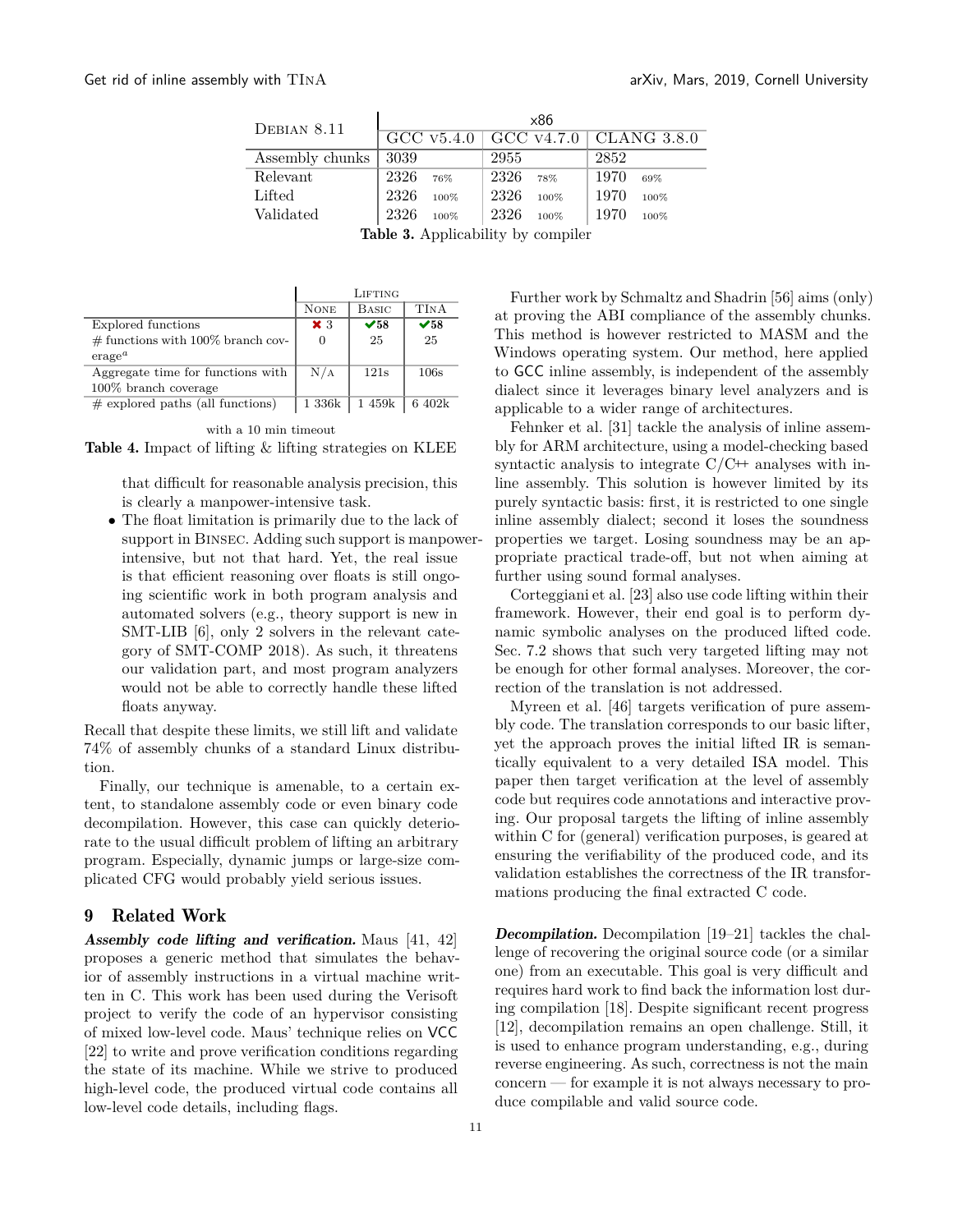<span id="page-10-0"></span>

| DEBIAN 8.11     | $\times 86$  |              |                                     |  |  |  |  |  |  |
|-----------------|--------------|--------------|-------------------------------------|--|--|--|--|--|--|
|                 |              |              | $GCC$ v5.4.0 GCC v4.7.0 CLANG 3.8.0 |  |  |  |  |  |  |
| Assembly chunks | 3039         | 2955         | 2852                                |  |  |  |  |  |  |
| Relevant        | 2326<br>76%  | 2326<br>78%  | 1970<br>69%                         |  |  |  |  |  |  |
| Lifted          | 2326<br>100% | 2326<br>100% | 1970<br>100%                        |  |  |  |  |  |  |
| Validated       | 2326<br>100% | 2326<br>100% | 1970<br>100%                        |  |  |  |  |  |  |
|                 |              |              |                                     |  |  |  |  |  |  |

Table 3. Applicability by compiler

<span id="page-10-1"></span>

|                                      |                | LIFTING     |                            |
|--------------------------------------|----------------|-------------|----------------------------|
|                                      | <b>NONE</b>    | BASIC       | <b>TINA</b>                |
| Explored functions                   | $\mathbf{x}$ 3 | $\sqrt{58}$ | $\checkmark$ <sub>58</sub> |
| $\#$ functions with 100% branch cov- |                | 25          | 25                         |
| erage <sup>a</sup>                   |                |             |                            |
| Aggregate time for functions with    | N/A            | 121s        | 106s                       |
| $100\%$ branch coverage              |                |             |                            |
| $\#$ explored paths (all functions)  | 1 336k         | 1459k       | 6 402k                     |

with a 10 min timeout

Table 4. Impact of lifting & lifting strategies on KLEE

that difficult for reasonable analysis precision, this is clearly a manpower-intensive task.

• The float limitation is primarily due to the lack of support in Binsec. Adding such support is manpowerintensive, but not that hard. Yet, the real issue is that efficient reasoning over floats is still ongoing scientific work in both program analysis and automated solvers (e.g., theory support is new in SMT-LIB [\[6](#page-13-7)], only 2 solvers in the relevant category of SMT-COMP 2018). As such, it threatens our validation part, and most program analyzers would not be able to correctly handle these lifted floats anyway.

Recall that despite these limits, we still lift and validate 74% of assembly chunks of a standard Linux distribution.

Finally, our technique is amenable, to a certain extent, to standalone assembly code or even binary code decompilation. However, this case can quickly deteriorate to the usual difficult problem of lifting an arbitrary program. Especially, dynamic jumps or large-size complicated CFG would probably yield serious issues.

# 9 Related Work

Assembly code lifting and verification. Maus [41, [42](#page-14-2)] proposes a generic method that simulates the behavior of assembly instructions in a virtual machine written in C. This work has been used during the Verisoft project to verify the code of an hypervisor consisting of mixed low-level code. Maus' technique relies on VCC [\[22\]](#page-13-8) to write and prove verification conditions regarding the state of its machine. While we strive to produced high-level code, the produced virtual code contains all low-level code details, including flags.

Further work by Schmaltz and Shadrin [\[56\]](#page-14-6) aims (only) at proving the ABI compliance of the assembly chunks. This method is however restricted to MASM and the Windows operating system. Our method, here applied to GCC inline assembly, is independent of the assembly dialect since it leverages binary level analyzers and is applicable to a wider range of architectures.

Fehnker et al. [\[31\]](#page-13-9) tackle the analysis of inline assembly for ARM architecture, using a model-checking based syntactic analysis to integrate  $C/C+$  analyses with inline assembly. This solution is however limited by its purely syntactic basis: first, it is restricted to one single inline assembly dialect; second it loses the soundness properties we target. Losing soundness may be an appropriate practical trade-off, but not when aiming at further using sound formal analyses.

Corteggiani et al. [23] also use code lifting within their framework. However, their end goal is to perform dynamic symbolic analyses on the produced lifted code. [Sec. 7.2](#page-8-1) shows that such very targeted lifting may not be enough for other formal analyses. Moreover, the correction of the translation is not addressed.

Myreen et al. [\[46\]](#page-14-7) targets verification of pure assembly code. The translation corresponds to our basic lifter, yet the approach proves the initial lifted IR is semantically equivalent to a very detailed ISA model. This paper then target verification at the level of assembly code but requires code annotations and interactive proving. Our proposal targets the lifting of inline assembly within C for (general) verification purposes, is geared at ensuring the verifiability of the produced code, and its validation establishes the correctness of the IR transformations producing the final extracted C code.

Decompilation. Decompilation [19–21] tackles the challenge of recovering the original source code (or a similar one) from an executable. This goal is very difficult and requires hard work to find back the information lost during compilation [\[18](#page-13-10)]. Despite significant recent progress [12], decompilation remains an open challenge. Still, it is used to enhance program understanding, e.g., during reverse engineering. As such, correctness is not the main concern — for example it is not always necessary to produce compilable and valid source code.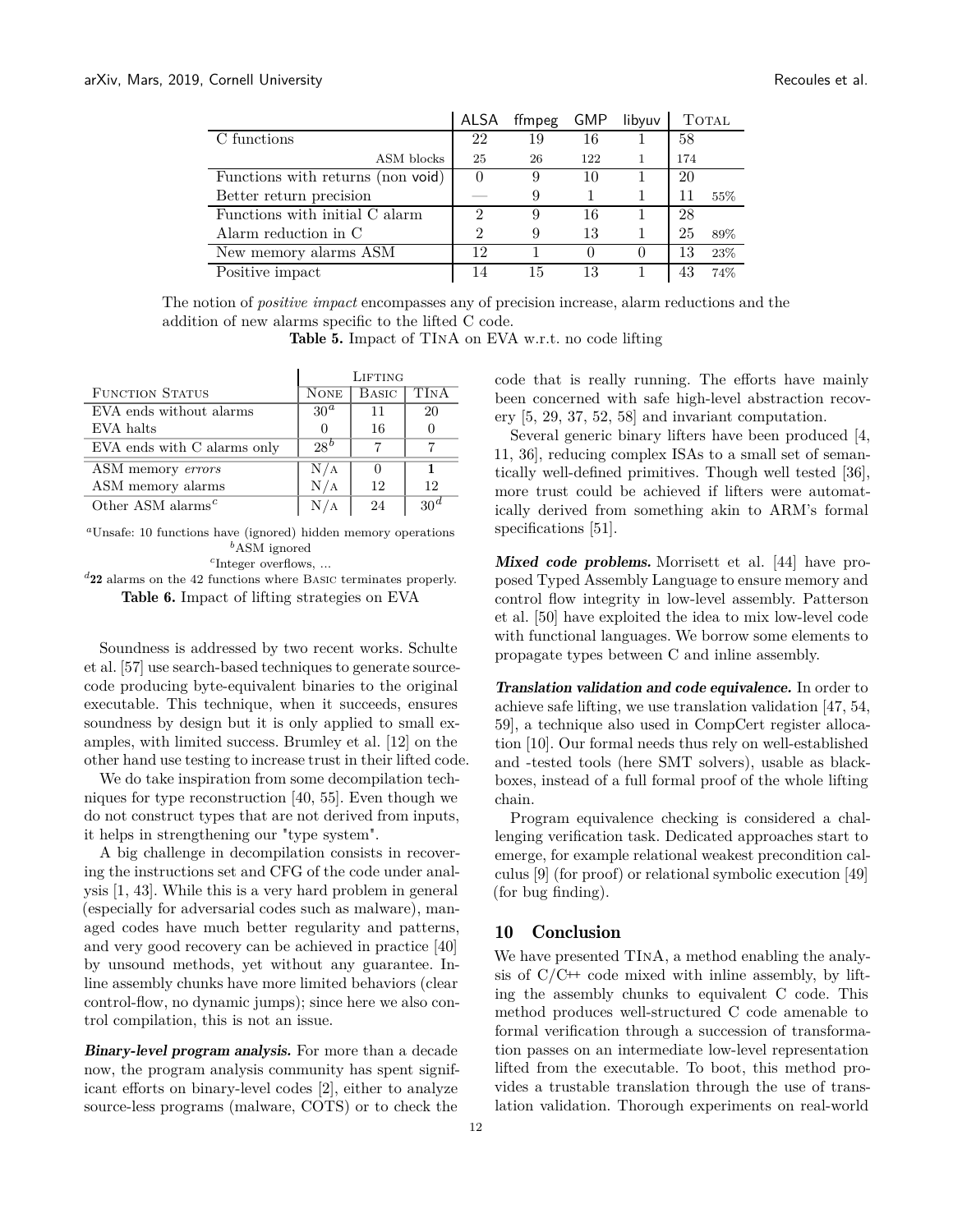<span id="page-11-0"></span>

|                                   | ALSA                        | ffmpeg | GMP              | libyuv |     | <b>TOTAL</b> |
|-----------------------------------|-----------------------------|--------|------------------|--------|-----|--------------|
| C functions                       | 22                          | 19     | 16               |        | 58  |              |
| ASM blocks                        | 25                          | 26     | 122              |        | 174 |              |
| Functions with returns (non void) | 0                           | 9      | 10               |        | 20  |              |
| Better return precision           |                             | 9      |                  |        |     | 55%          |
| Functions with initial C alarm    | $\mathcal{D}_{\mathcal{A}}$ | 9      | 16               |        | 28  |              |
| Alarm reduction in C              | $\overline{2}$              | 9      | 13               |        | 25  | 89%          |
| New memory alarms ASM             | 12                          |        | $\left( \right)$ |        | 13  | 23%          |
| Positive impact                   | 14                          | 15     | 13               |        | 43  | 74%          |

The notion of *positive impact* encompasses any of precision increase, alarm reductions and the addition of new alarms specific to the lifted C code.

Table 5. Impact of TInA on EVA w.r.t. no code lifting

<span id="page-11-1"></span>

|                                            | LIFTING          |              |                 |  |  |
|--------------------------------------------|------------------|--------------|-----------------|--|--|
| <b>FUNCTION STATUS</b>                     | <b>NONE</b>      | <b>BASIC</b> | <b>TINA</b>     |  |  |
| EVA ends without alarms                    | 30 <sup>a</sup>  | 11           | 20              |  |  |
| EVA halts                                  | $\left( \right)$ | 16           |                 |  |  |
| EVA ends with C alarms only                | $28^b$           |              |                 |  |  |
| ASM memory errors                          | N/A              |              | 1               |  |  |
| ASM memory alarms                          | N/A              | 12           | 12              |  |  |
| Other ASM alarms <sup><math>c</math></sup> |                  | 24           | 30 <sup>a</sup> |  |  |

*<sup>a</sup>*Unsafe: 10 functions have (ignored) hidden memory operations *<sup>b</sup>*ASM ignored

*c* Integer overflows, ...

*<sup>d</sup>*22 alarms on the 42 functions where Basic terminates properly. Table 6. Impact of lifting strategies on EVA

Soundness is addressed by two recent works. Schulte et al. [\[57](#page-14-3)] use search-based techniques to generate sourcecode producing byte-equivalent binaries to the original executable. This technique, when it succeeds, ensures soundness by design but it is only applied to small examples, with limited success. Brumley et al. [12] on the other hand use testing to increase trust in their lifted code.

We do take inspiration from some decompilation techniques for type reconstruction [\[40,](#page-14-8) [55\]](#page-14-9). Even though we do not construct types that are not derived from inputs, it helps in strengthening our "type system".

A big challenge in decompilation consists in recovering the instructions set and CFG of the code under analysis [1, 43]. While this is a very hard problem in general (especially for adversarial codes such as malware), managed codes have much better regularity and patterns, and very good recovery can be achieved in practice [\[40](#page-14-8)] by unsound methods, yet without any guarantee. Inline assembly chunks have more limited behaviors (clear control-flow, no dynamic jumps); since here we also control compilation, this is not an issue.

Binary-level program analysis. For more than a decade now, the program analysis community has spent significant efforts on binary-level codes [2], either to analyze source-less programs (malware, COTS) or to check the

code that is really running. The efforts have mainly been concerned with safe high-level abstraction recovery [5, [29,](#page-13-2) 37, 52, 58] and invariant computation.

Several generic binary lifters have been produced [4, [11](#page-13-1), 36], reducing complex ISAs to a small set of semantically well-defined primitives. Though well tested [36], more trust could be achieved if lifters were automatically derived from something akin to ARM's formal specifications [51].

Mixed code problems. Morrisett et al. [44] have proposed Typed Assembly Language to ensure memory and control flow integrity in low-level assembly. Patterson et al. [\[50](#page-14-10)] have exploited the idea to mix low-level code with functional languages. We borrow some elements to propagate types between C and inline assembly.

Translation validation and code equivalence. In order to achieve safe lifting, we use translation validation [47, 54, 59], a technique also used in CompCert register allocation [10]. Our formal needs thus rely on well-established and -tested tools (here SMT solvers), usable as blackboxes, instead of a full formal proof of the whole lifting chain.

Program equivalence checking is considered a challenging verification task. Dedicated approaches start to emerge, for example relational weakest precondition calculus [9] (for proof) or relational symbolic execution [49] (for bug finding).

# 10 Conclusion

We have presented TInA, a method enabling the analysis of  $C/C^+$  code mixed with inline assembly, by lifting the assembly chunks to equivalent C code. This method produces well-structured C code amenable to formal verification through a succession of transformation passes on an intermediate low-level representation lifted from the executable. To boot, this method provides a trustable translation through the use of translation validation. Thorough experiments on real-world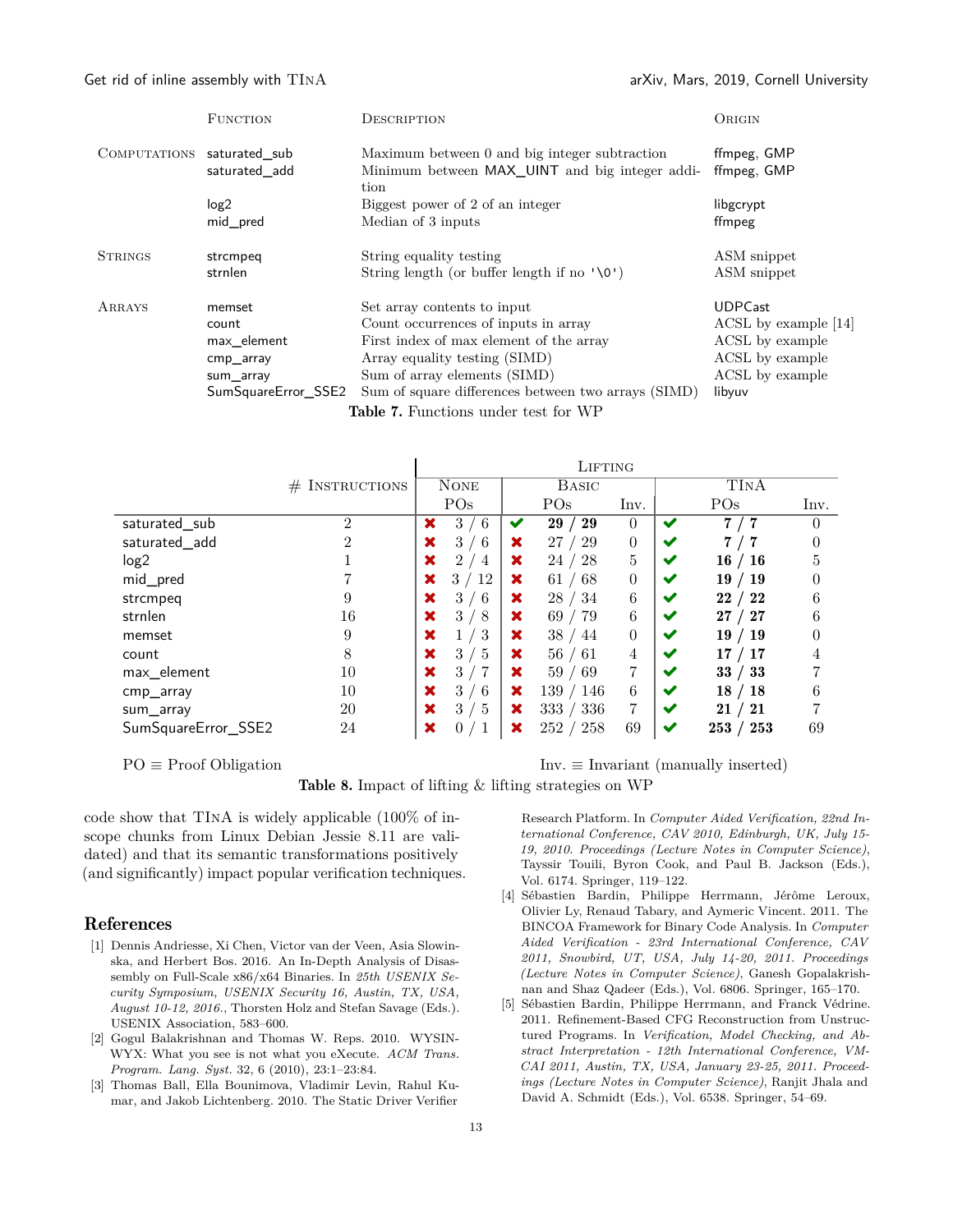#### <span id="page-12-0"></span>Get rid of inline assembly with  $TINA$  arXiv, Mars, 2019, Cornell University

|                            | <b>FUNCTION</b>                             | <b>DESCRIPTION</b>                                                                              | ORIGIN                     |  |  |  |  |  |  |
|----------------------------|---------------------------------------------|-------------------------------------------------------------------------------------------------|----------------------------|--|--|--|--|--|--|
| COMPUTATIONS saturated sub | saturated add                               | Maximum between 0 and big integer subtraction<br>Minimum between MAX_UINT and big integer addi- | ffmpeg, GMP<br>ffmpeg, GMP |  |  |  |  |  |  |
|                            |                                             | tion                                                                                            |                            |  |  |  |  |  |  |
|                            | log <sub>2</sub>                            | Biggest power of 2 of an integer                                                                | libgcrypt                  |  |  |  |  |  |  |
|                            | mid pred                                    | Median of 3 inputs                                                                              | ffmpeg                     |  |  |  |  |  |  |
| <b>STRINGS</b>             | strcmpeq                                    | String equality testing                                                                         | ASM snippet                |  |  |  |  |  |  |
|                            | strnlen                                     | String length (or buffer length if no $'\0')$                                                   | ASM snippet                |  |  |  |  |  |  |
| ARRAYS                     | memset                                      | Set array contents to input                                                                     | <b>UDPCast</b>             |  |  |  |  |  |  |
|                            | count                                       | Count occurrences of inputs in array                                                            | ACSL by example [14]       |  |  |  |  |  |  |
|                            | max element                                 | First index of max element of the array                                                         | ACSL by example            |  |  |  |  |  |  |
|                            | cmp_array                                   | Array equality testing (SIMD)                                                                   | ACSL by example            |  |  |  |  |  |  |
|                            | sum_array                                   | Sum of array elements (SIMD)                                                                    | ACSL by example            |  |  |  |  |  |  |
|                            | SumSquareError SSE2                         | Sum of square differences between two arrays (SIMD)                                             | libyuv                     |  |  |  |  |  |  |
|                            | <b>Table 7.</b> Functions under test for WP |                                                                                                 |                            |  |  |  |  |  |  |

<span id="page-12-1"></span>

|                     |                   | LIFTING     |                                  |              |                 |                  |   |                      |          |
|---------------------|-------------------|-------------|----------------------------------|--------------|-----------------|------------------|---|----------------------|----------|
|                     | INSTRUCTIONS<br># | <b>NONE</b> |                                  | <b>BASIC</b> |                 |                  |   | TINA                 |          |
|                     |                   |             | PO <sub>s</sub>                  |              | PO <sub>s</sub> | Inv.             |   | POs                  | Inv.     |
| saturated_sub       | $\overline{2}$    | ×           | 6<br>3                           | ✔            | 29<br>29        | $\theta$         | ✔ | 7<br>7               | 0        |
| saturated_add       | $\overline{2}$    | ×           | 3<br>-6                          | ×            | 27<br>29        | $\overline{0}$   |   |                      | $\theta$ |
| log <sub>2</sub>    |                   | ×           | $\overline{2}$<br>$\overline{4}$ | ×            | 28<br>24        | $\bf 5$          | ✔ | 16<br>$^{\prime}$ 16 | 5        |
| mid_pred            |                   | ×           | 3 <sub>1</sub><br>$^{\prime}$ 12 | ×            | 61/<br>-68      | $\boldsymbol{0}$ | ✔ | 19<br>19             | 0        |
| strcmpeq            | 9                 | ×           | $6\phantom{.}6$<br>3             | ×            | 28/<br>-34      | 6                | ✔ | 22<br>22             | 6        |
| strnlen             | 16                | ×           | 3<br>-8                          | ×            | 69 / 79         | 6                | ✔ | 27<br>27             | 6        |
| memset              | 9                 | ×           | 3                                | ×            | 38/<br>44       | $\theta$         | ✔ | 19<br>19             |          |
| count               | 8                 | ×           | 3/<br>-5                         | ×            | 56/61           | 4                |   | 17<br>17             |          |
| max_element         | 10                | ×           | 7<br>3 <sub>1</sub>              | ×            | 59/<br>-69      | 7                | ✔ | 33<br>33             |          |
| cmp_array           | 10                | ×           | -6<br>3                          | x            | 139/<br>146     | 6                |   | 18<br>-18            | 6        |
| sum_array           | 20                | ×           | -5<br>3                          | x            | 333<br>336      | 7                | ✔ | 21<br>21             |          |
| SumSquareError_SSE2 | 24                | ×           | 0                                | ×            | 252<br>258      | 69               | ✔ | 253<br>253           | 69       |

 $\mathbf{I}$ 

PO ≡ Proof Obligation Inv. ≡ Invariant (manually inserted)

Table 8. Impact of lifting & lifting strategies on WP

code show that TInA is widely applicable (100% of inscope chunks from Linux Debian Jessie 8.11 are validated) and that its semantic transformations positively (and significantly) impact popular verification techniques.

#### References

- [1] Dennis Andriesse, Xi Chen, Victor van der Veen, Asia Slowinska, and Herbert Bos. 2016. An In-Depth Analysis of Disassembly on Full-Scale x86/x64 Binaries. In *25th USENIX Security Symposium, USENIX Security 16, Austin, TX, USA, August 10-12, 2016.*, Thorsten Holz and Stefan Savage (Eds.). USENIX Association, 583–600.
- [2] Gogul Balakrishnan and Thomas W. Reps. 2010. WYSIN-WYX: What you see is not what you eXecute. *ACM Trans. Program. Lang. Syst.* 32, 6 (2010), 23:1–23:84.
- [3] Thomas Ball, Ella Bounimova, Vladimir Levin, Rahul Kumar, and Jakob Lichtenberg. 2010. The Static Driver Verifier

Research Platform. In *Computer Aided Verification, 22nd International Conference, CAV 2010, Edinburgh, UK, July 15- 19, 2010. Proceedings (Lecture Notes in Computer Science)*, Tayssir Touili, Byron Cook, and Paul B. Jackson (Eds.), Vol. 6174. Springer, 119–122.

- [4] Sébastien Bardin, Philippe Herrmann, Jérôme Leroux, Olivier Ly, Renaud Tabary, and Aymeric Vincent. 2011. The BINCOA Framework for Binary Code Analysis. In *Computer Aided Verification - 23rd International Conference, CAV 2011, Snowbird, UT, USA, July 14-20, 2011. Proceedings (Lecture Notes in Computer Science)*, Ganesh Gopalakrishnan and Shaz Qadeer (Eds.), Vol. 6806. Springer, 165–170.
- [5] Sébastien Bardin, Philippe Herrmann, and Franck Védrine. 2011. Refinement-Based CFG Reconstruction from Unstructured Programs. In *Verification, Model Checking, and Abstract Interpretation - 12th International Conference, VM-CAI 2011, Austin, TX, USA, January 23-25, 2011. Proceedings (Lecture Notes in Computer Science)*, Ranjit Jhala and David A. Schmidt (Eds.), Vol. 6538. Springer, 54–69.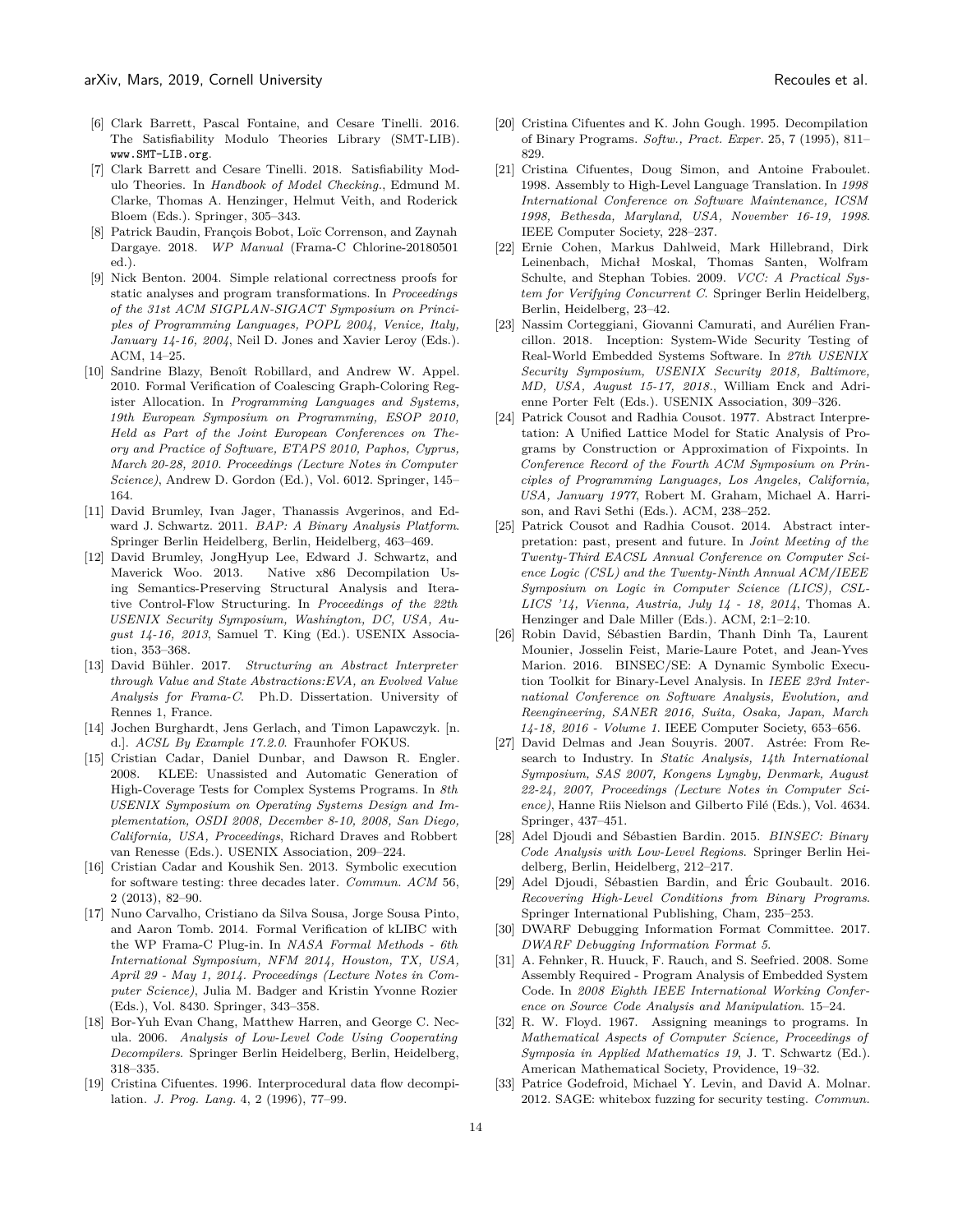- <span id="page-13-7"></span>[6] Clark Barrett, Pascal Fontaine, and Cesare Tinelli. 2016. The Satisfiability Modulo Theories Library (SMT-LIB). www.SMT-LIB.org.
- [7] Clark Barrett and Cesare Tinelli. 2018. Satisfiability Modulo Theories. In *Handbook of Model Checking.*, Edmund M. Clarke, Thomas A. Henzinger, Helmut Veith, and Roderick Bloem (Eds.). Springer, 305–343.
- <span id="page-13-5"></span>[8] Patrick Baudin, François Bobot, Loïc Correnson, and Zaynah Dargaye. 2018. *WP Manual* (Frama-C Chlorine-20180501 ed.).
- [9] Nick Benton. 2004. Simple relational correctness proofs for static analyses and program transformations. In *Proceedings of the 31st ACM SIGPLAN-SIGACT Symposium on Principles of Programming Languages, POPL 2004, Venice, Italy, January 14-16, 2004*, Neil D. Jones and Xavier Leroy (Eds.). ACM, 14–25.
- [10] Sandrine Blazy, Benoît Robillard, and Andrew W. Appel. 2010. Formal Verification of Coalescing Graph-Coloring Register Allocation. In *Programming Languages and Systems, 19th European Symposium on Programming, ESOP 2010, Held as Part of the Joint European Conferences on Theory and Practice of Software, ETAPS 2010, Paphos, Cyprus, March 20-28, 2010. Proceedings (Lecture Notes in Computer Science)*, Andrew D. Gordon (Ed.), Vol. 6012. Springer, 145– 164.
- <span id="page-13-1"></span>[11] David Brumley, Ivan Jager, Thanassis Avgerinos, and Edward J. Schwartz. 2011. *BAP: A Binary Analysis Platform*. Springer Berlin Heidelberg, Berlin, Heidelberg, 463–469.
- [12] David Brumley, JongHyup Lee, Edward J. Schwartz, and Maverick Woo. 2013. Native x86 Decompilation Using Semantics-Preserving Structural Analysis and Iterative Control-Flow Structuring. In *Proceedings of the 22th USENIX Security Symposium, Washington, DC, USA, August 14-16, 2013*, Samuel T. King (Ed.). USENIX Association, 353–368.
- [13] David Bühler. 2017. *Structuring an Abstract Interpreter through Value and State Abstractions:EVA, an Evolved Value Analysis for Frama-C*. Ph.D. Dissertation. University of Rennes 1, France.
- <span id="page-13-6"></span>[14] Jochen Burghardt, Jens Gerlach, and Timon Lapawczyk. [n. d.]. *ACSL By Example 17.2.0*. Fraunhofer FOKUS.
- [15] Cristian Cadar, Daniel Dunbar, and Dawson R. Engler. 2008. KLEE: Unassisted and Automatic Generation of High-Coverage Tests for Complex Systems Programs. In *8th USENIX Symposium on Operating Systems Design and Implementation, OSDI 2008, December 8-10, 2008, San Diego, California, USA, Proceedings*, Richard Draves and Robbert van Renesse (Eds.). USENIX Association, 209–224.
- [16] Cristian Cadar and Koushik Sen. 2013. Symbolic execution for software testing: three decades later. *Commun. ACM* 56, 2 (2013), 82–90.
- [17] Nuno Carvalho, Cristiano da Silva Sousa, Jorge Sousa Pinto, and Aaron Tomb. 2014. Formal Verification of kLIBC with the WP Frama-C Plug-in. In *NASA Formal Methods - 6th International Symposium, NFM 2014, Houston, TX, USA, April 29 - May 1, 2014. Proceedings (Lecture Notes in Computer Science)*, Julia M. Badger and Kristin Yvonne Rozier (Eds.), Vol. 8430. Springer, 343–358.
- <span id="page-13-10"></span>[18] Bor-Yuh Evan Chang, Matthew Harren, and George C. Necula. 2006. *Analysis of Low-Level Code Using Cooperating Decompilers*. Springer Berlin Heidelberg, Berlin, Heidelberg, 318–335.
- [19] Cristina Cifuentes. 1996. Interprocedural data flow decompilation. *J. Prog. Lang.* 4, 2 (1996), 77–99.
- [20] Cristina Cifuentes and K. John Gough. 1995. Decompilation of Binary Programs. *Softw., Pract. Exper.* 25, 7 (1995), 811– 829.
- [21] Cristina Cifuentes, Doug Simon, and Antoine Fraboulet. 1998. Assembly to High-Level Language Translation. In *1998 International Conference on Software Maintenance, ICSM 1998, Bethesda, Maryland, USA, November 16-19, 1998*. IEEE Computer Society, 228–237.
- <span id="page-13-8"></span>[22] Ernie Cohen, Markus Dahlweid, Mark Hillebrand, Dirk Leinenbach, Michał Moskal, Thomas Santen, Wolfram Schulte, and Stephan Tobies. 2009. *VCC: A Practical System for Verifying Concurrent C*. Springer Berlin Heidelberg, Berlin, Heidelberg, 23–42.
- [23] Nassim Corteggiani, Giovanni Camurati, and Aurélien Francillon. 2018. Inception: System-Wide Security Testing of Real-World Embedded Systems Software. In *27th USENIX Security Symposium, USENIX Security 2018, Baltimore, MD, USA, August 15-17, 2018.*, William Enck and Adrienne Porter Felt (Eds.). USENIX Association, 309–326.
- [24] Patrick Cousot and Radhia Cousot. 1977. Abstract Interpretation: A Unified Lattice Model for Static Analysis of Programs by Construction or Approximation of Fixpoints. In *Conference Record of the Fourth ACM Symposium on Principles of Programming Languages, Los Angeles, California, USA, January 1977*, Robert M. Graham, Michael A. Harrison, and Ravi Sethi (Eds.). ACM, 238–252.
- [25] Patrick Cousot and Radhia Cousot. 2014. Abstract interpretation: past, present and future. In *Joint Meeting of the Twenty-Third EACSL Annual Conference on Computer Science Logic (CSL) and the Twenty-Ninth Annual ACM/IEEE Symposium on Logic in Computer Science (LICS), CSL-LICS '14, Vienna, Austria, July 14 - 18, 2014*, Thomas A. Henzinger and Dale Miller (Eds.). ACM, 2:1–2:10.
- [26] Robin David, Sébastien Bardin, Thanh Dinh Ta, Laurent Mounier, Josselin Feist, Marie-Laure Potet, and Jean-Yves Marion. 2016. BINSEC/SE: A Dynamic Symbolic Execution Toolkit for Binary-Level Analysis. In *IEEE 23rd International Conference on Software Analysis, Evolution, and Reengineering, SANER 2016, Suita, Osaka, Japan, March 14-18, 2016 - Volume 1*. IEEE Computer Society, 653–656.
- [27] David Delmas and Jean Souyris. 2007. Astrée: From Research to Industry. In *Static Analysis, 14th International Symposium, SAS 2007, Kongens Lyngby, Denmark, August 22-24, 2007, Proceedings (Lecture Notes in Computer Science)*, Hanne Riis Nielson and Gilberto Filé (Eds.), Vol. 4634. Springer, 437–451.
- <span id="page-13-3"></span>[28] Adel Djoudi and Sébastien Bardin. 2015. *BINSEC: Binary Code Analysis with Low-Level Regions*. Springer Berlin Heidelberg, Berlin, Heidelberg, 212–217.
- <span id="page-13-2"></span>[29] Adel Djoudi, Sébastien Bardin, and Éric Goubault. 2016. *Recovering High-Level Conditions from Binary Programs*. Springer International Publishing, Cham, 235–253.
- <span id="page-13-4"></span>[30] DWARF Debugging Information Format Committee. 2017. *DWARF Debugging Information Format 5*.
- <span id="page-13-9"></span>[31] A. Fehnker, R. Huuck, F. Rauch, and S. Seefried. 2008. Some Assembly Required - Program Analysis of Embedded System Code. In *2008 Eighth IEEE International Working Conference on Source Code Analysis and Manipulation*. 15–24.
- <span id="page-13-0"></span>[32] R. W. Floyd. 1967. Assigning meanings to programs. In *Mathematical Aspects of Computer Science, Proceedings of Symposia in Applied Mathematics 19*, J. T. Schwartz (Ed.). American Mathematical Society, Providence, 19–32.
- [33] Patrice Godefroid, Michael Y. Levin, and David A. Molnar. 2012. SAGE: whitebox fuzzing for security testing. *Commun.*